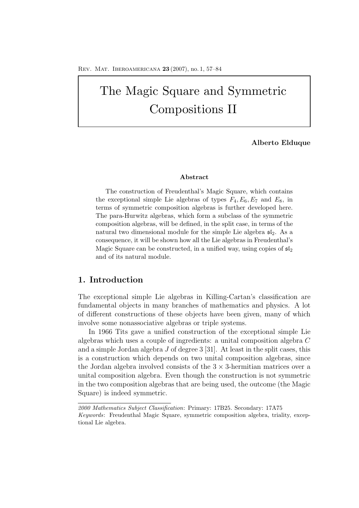# The Magic Square and Symmetric Compositions II

**Alberto Elduque**

## **Abstract**

The construction of Freudenthal's Magic Square, which contains the exceptional simple Lie algebras of types  $F_4, E_6, E_7$  and  $E_8$ , in terms of symmetric composition algebras is further developed here. The para-Hurwitz algebras, which form a subclass of the symmetric composition algebras, will be defined, in the split case, in terms of the natural two dimensional module for the simple Lie algebra  $\mathfrak{sl}_2$ . As a consequence, it will be shown how all the Lie algebras in Freudenthal's Magic Square can be constructed, in a unified way, using copies of  $\mathfrak{sl}_2$ and of its natural module.

# **1. Introduction**

The exceptional simple Lie algebras in Killing-Cartan's classification are fundamental objects in many branches of mathematics and physics. A lot of different constructions of these objects have been given, many of which involve some nonassociative algebras or triple systems.

In 1966 Tits gave a unified construction of the exceptional simple Lie algebras which uses a couple of ingredients: a unital composition algebra C and a simple Jordan algebra  $J$  of degree 3 [31]. At least in the split cases, this is a construction which depends on two unital composition algebras, since the Jordan algebra involved consists of the  $3 \times 3$ -hermitian matrices over a unital composition algebra. Even though the construction is not symmetric in the two composition algebras that are being used, the outcome (the Magic Square) is indeed symmetric.

*<sup>2000</sup> Mathematics Subject Classification*: Primary: 17B25. Secondary: 17A75 *Keywords*: Freudenthal Magic Square, symmetric composition algebra, triality, exceptional Lie algebra.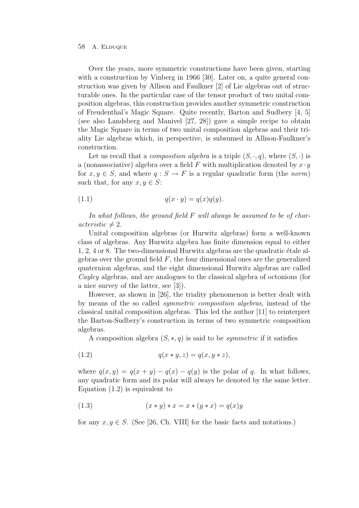Over the years, more symmetric constructions have been given, starting with a construction by Vinberg in 1966 [30]. Later on, a quite general construction was given by Allison and Faulkner [2] of Lie algebras out of structurable ones. In the particular case of the tensor product of two unital composition algebras, this construction provides another symmetric construction of Freudenthal's Magic Square. Quite recently, Barton and Sudbery [4, 5] (see also Landsberg and Manivel [27, 28]) gave a simple recipe to obtain the Magic Square in terms of two unital composition algebras and their triality Lie algebras which, in perspective, is subsumed in Allison-Faulkner's construction.

Let us recall that a *composition algebra* is a triple  $(S, \cdot, q)$ , where  $(S, \cdot)$  is a (nonassociative) algebra over a field F with multiplication denoted by  $x \cdot y$ for  $x, y \in S$ , and where  $q: S \to F$  is a regular quadratic form (the norm) such that, for any  $x, y \in S$ :

$$
(1.1) \t\t q(x \cdot y) = q(x)q(y).
$$

In what follows, the ground field F will always be assumed to be of char- $\iota \iota \iota \iota \neq 2$ .

Unital composition algebras (or Hurwitz algebras) form a well-known class of algebras. Any Hurwitz algebra has finite dimension equal to either  $1, 2, 4$  or 8. The two-dimensional Hurwitz algebras are the quadratic étale algebras over the ground field  $F$ , the four dimensional ones are the generalized quaternion algebras, and the eight dimensional Hurwitz algebras are called Cayley algebras, and are analogues to the classical algebra of octonions (for a nice survey of the latter, see [3]).

However, as shown in [26], the triality phenomenon is better dealt with by means of the so called symmetric composition algebras, instead of the classical unital composition algebras. This led the author [11] to reinterpret the Barton-Sudbery's construction in terms of two symmetric composition algebras.

A composition algebra  $(S, *, q)$  is said to be *symmetric* if it satisfies

(1.2) 
$$
q(x * y, z) = q(x, y * z),
$$

where  $q(x, y) = q(x + y) - q(x) - q(y)$  is the polar of q. In what follows, any quadratic form and its polar will always be denoted by the same letter. Equation (1.2) is equivalent to

(1.3) 
$$
(x * y) * x = x * (y * x) = q(x)y
$$

for any  $x, y \in S$ . (See [26, Ch. VIII] for the basic facts and notations.)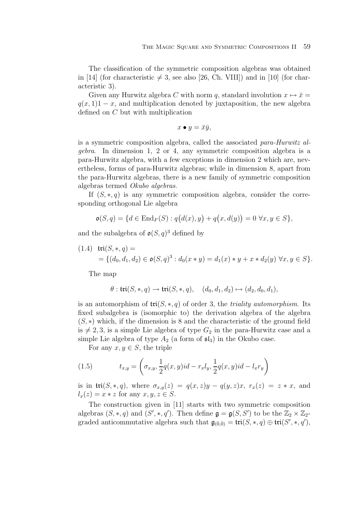The classification of the symmetric composition algebras was obtained in [14] (for characteristic  $\neq$  3, see also [26, Ch. VIII]) and in [10] (for characteristic 3).

Given any Hurwitz algebra C with norm q, standard involution  $x \mapsto \bar{x} =$  $q(x, 1)1 - x$ , and multiplication denoted by juxtaposition, the new algebra defined on C but with multiplication

$$
x \bullet y = \bar{x}\bar{y},
$$

is a symmetric composition algebra, called the associated para-Hurwitz algebra. In dimension 1, 2 or 4, any symmetric composition algebra is a para-Hurwitz algebra, with a few exceptions in dimension 2 which are, nevertheless, forms of para-Hurwitz algebras; while in dimension 8, apart from the para-Hurwitz algebras, there is a new family of symmetric composition algebras termed Okubo algebras.

If  $(S, *, q)$  is any symmetric composition algebra, consider the corresponding orthogonal Lie algebra

$$
\mathfrak{o}(S, q) = \{ d \in \text{End}_F(S) : q(d(x), y) + q(x, d(y)) = 0 \,\,\forall x, y \in S \},
$$

and the subalgebra of  $\mathfrak{o}(S, q)^3$  defined by

(1.4) 
$$
\text{tri}(S, *, q) =
$$
  
= { $(d_0, d_1, d_2) \in \mathfrak{o}(S, q)^3 : d_0(x * y) = d_1(x) * y + x * d_2(y) \forall x, y \in S}.$ 

The map

$$
\theta: \mathfrak{tri}(S,*,q) \to \mathfrak{tri}(S,*,q), \quad (d_0,d_1,d_2) \mapsto (d_2,d_0,d_1),
$$

is an automorphism of  $\text{tri}(S, *, q)$  of order 3, the *triality automorphism*. Its fixed subalgebra is (isomorphic to) the derivation algebra of the algebra  $(S, *)$  which, if the dimension is 8 and the characteristic of the ground field is  $\neq 2, 3$ , is a simple Lie algebra of type  $G_2$  in the para-Hurwitz case and a simple Lie algebra of type  $A_2$  (a form of  $\mathfrak{sl}_3$ ) in the Okubo case.

For any  $x, y \in S$ , the triple

(1.5) 
$$
t_{x,y} = \left(\sigma_{x,y}, \frac{1}{2}q(x,y)id - r_x l_y, \frac{1}{2}q(x,y)id - l_x r_y\right)
$$

is in tri $(S, *, q)$ , where  $\sigma_{x,y}(z) = q(x, z)y - q(y, z)x$ ,  $r_x(z) = z * x$ , and  $l_x(z) = x * z$  for any  $x, y, z \in S$ .

The construction given in [11] starts with two symmetric composition algebras  $(S, *, q)$  and  $(S', *, q')$ . Then define  $\mathfrak{g} = \mathfrak{g}(S, S')$  to be the  $\mathbb{Z}_2 \times \mathbb{Z}_2$ graded anticommutative algebra such that  $\mathfrak{g}_{(\bar{0},\bar{0})} = \text{tri}(S,*,q) \oplus \text{tri}(S',*,q'),$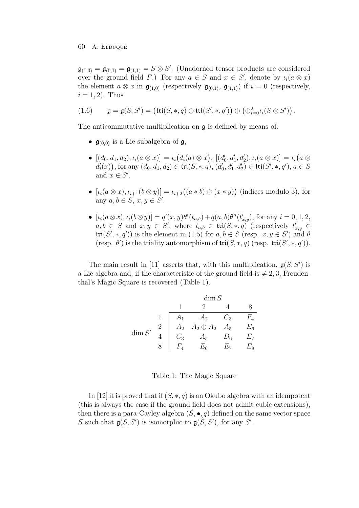$\mathfrak{g}_{(\bar{1},\bar{0})} = \mathfrak{g}_{(\bar{0},\bar{1})} = \mathfrak{g}_{(\bar{1},\bar{1})} = S \otimes S'.$  (Unadorned tensor products are considered over the ground field F.) For any  $a \in S$  and  $x \in S'$ , denote by  $\iota_i(a \otimes x)$ the element  $a \otimes x$  in  $\mathfrak{g}_{(\overline{1},\overline{0})}$  (respectively  $\mathfrak{g}_{(\overline{0},\overline{1})}$ ,  $\mathfrak{g}_{(\overline{1},\overline{1})}$ ) if  $i = 0$  (respectively,  $i = 1, 2$ . Thus

$$
(1.6) \qquad \mathfrak{g}=\mathfrak{g}(S,S')=\big(\mathfrak{tri}(S,*,q)\oplus \mathfrak{tri}(S',*,q')\big)\oplus \big(\oplus_{i=0}^2 \iota_i(S\otimes S')\big)\,.
$$

The anticommutative multiplication on  $\mathfrak g$  is defined by means of:

- $\mathfrak{g}_{(\bar{0},\bar{0})}$  is a Lie subalgebra of  $\mathfrak{g}$ ,
- $\bullet \; [(d_0, d_1, d_2), \iota_i(a \otimes x)] = \iota_i\big(d_i(a) \otimes x\big), \; [(d'_0, d'_1, d'_2), \iota_i(a \otimes x)] = \iota_i\big(a \otimes x\big)$  $d'_{i}(x)$ ), for any  $(d_{0}, d_{1}, d_{2}) \in \mathfrak{tri}(S, *, q), (d'_{0}, d'_{1}, d'_{2}) \in \mathfrak{tri}(S', *, q'), a \in S$ and  $x \in S'$ .
- $[\iota_i(a\otimes x), \iota_{i+1}(b\otimes y)] = \iota_{i+2}((a * b) \otimes (x * y))$  (indices modulo 3), for any  $a, b \in S$ ,  $x, y \in S'$ .
- $[\iota_i(a \otimes x), \iota_i(b \otimes y)] = q'(x, y)\theta^i(t_{a,b}) + q(a, b)\theta'^i(t'_{x,y}),$  for any  $i = 0, 1, 2,$  $a, b \in S$  and  $x, y \in S'$ , where  $t_{a,b} \in \text{tri}(S, *, q)$  (respectively  $t'_{x,y} \in S'$  $\mathfrak{tri}(S',*,q')$  is the element in (1.5) for  $a, b \in S$  (resp.  $x, y \in S'$ ) and  $\theta$ (resp.  $\theta'$ ) is the triality automorphism of  $\text{tri}(S,*,q)$  (resp.  $\text{tri}(S',*,q')$ ).

The main result in [11] asserts that, with this multiplication,  $g(S, S')$  is a Lie algebra and, if the characteristic of the ground field is  $\neq 2, 3$ , Freudenthal's Magic Square is recovered (Table 1).

$$
\dim S
$$
\n
$$
\frac{1}{2} \quad \frac{1}{A_1} \quad \frac{2}{A_2} \quad \frac{4}{C_3} \quad \frac{8}{F_4}
$$
\n
$$
\dim S'
$$
\n
$$
\frac{2}{4} \quad \frac{A_2}{C_3} \quad \frac{A_2 \oplus A_2}{A_5} \quad \frac{A_5}{D_6} \quad \frac{E_6}{E_7}
$$
\n
$$
\frac{8}{F_4} \quad \frac{E_6}{E_6} \quad \frac{E_7}{E_7} \quad \frac{E_8}{E_8}
$$

Table 1: The Magic Square

In [12] it is proved that if  $(S, *, q)$  is an Okubo algebra with an idempotent (this is always the case if the ground field does not admit cubic extensions), then there is a para-Cayley algebra  $(\hat{S}, \bullet, q)$  defined on the same vector space S such that  $g(S, S')$  is isomorphic to  $g(\hat{S}, S')$ , for any S'.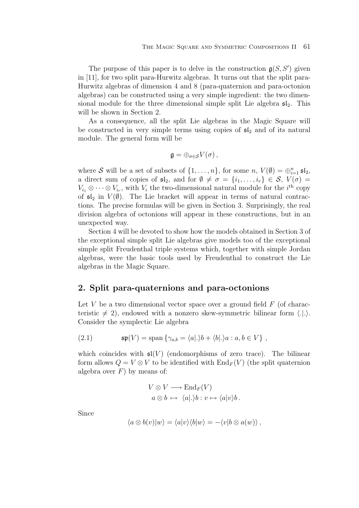The purpose of this paper is to delve in the construction  $g(S, S')$  given in [11], for two split para-Hurwitz algebras. It turns out that the split para-Hurwitz algebras of dimension 4 and 8 (para-quaternion and para-octonion algebras) can be constructed using a very simple ingredient: the two dimensional module for the three dimensional simple split Lie algebra  $\mathfrak{sl}_2$ . This will be shown in Section 2.

As a consequence, all the split Lie algebras in the Magic Square will be constructed in very simple terms using copies of  $\mathfrak{sl}_2$  and of its natural module. The general form will be

$$
\mathfrak{g}=\oplus_{\sigma\in\mathcal{S}}V(\sigma)\,,
$$

where S will be a set of subsets of  $\{1,\ldots,n\}$ , for some  $n, V(\emptyset) = \bigoplus_{i=1}^{n} \mathfrak{sl}_2$ , a direct sum of copies of  $\mathfrak{sl}_2$ , and for  $\emptyset \neq \sigma = \{i_1, \ldots, i_r\} \in \mathcal{S}, V(\sigma) =$  $V_{i_1} \otimes \cdots \otimes V_{i_r}$ , with  $V_i$  the two-dimensional natural module for the *i*<sup>th</sup> copy of  $\mathfrak{sl}_2$  in  $V(\emptyset)$ . The Lie bracket will appear in terms of natural contractions. The precise formulas will be given in Section 3. Surprisingly, the real division algebra of octonions will appear in these constructions, but in an unexpected way.

Section 4 will be devoted to show how the models obtained in Section 3 of the exceptional simple split Lie algebras give models too of the exceptional simple split Freudenthal triple systems which, together with simple Jordan algebras, were the basic tools used by Freudenthal to construct the Lie algebras in the Magic Square.

# **2. Split para-quaternions and para-octonions**

Let V be a two dimensional vector space over a ground field  $F$  (of characteristic  $\neq 2$ , endowed with a nonzero skew-symmetric bilinear form  $\langle .|. \rangle$ . Consider the symplectic Lie algebra

(2.1) 
$$
\mathfrak{sp}(V) = \text{span}\left\{\gamma_{a,b} = \langle a|.\rangle b + \langle b|.\rangle a : a, b \in V\right\},
$$

which coincides with  $\mathfrak{sl}(V)$  (endomorphisms of zero trace). The bilinear form allows  $Q = V \otimes V$  to be identified with  $\text{End}_F(V)$  (the split quaternion algebra over  $F$ ) by means of:

$$
V \otimes V \longrightarrow \text{End}_F(V)
$$
  

$$
a \otimes b \mapsto \langle a | \cdot \rangle b : v \mapsto \langle a | v \rangle b.
$$

Since

$$
\langle a \otimes b(v) | w \rangle = \langle a | v \rangle \langle b | w \rangle = - \langle v | b \otimes a(w) \rangle,
$$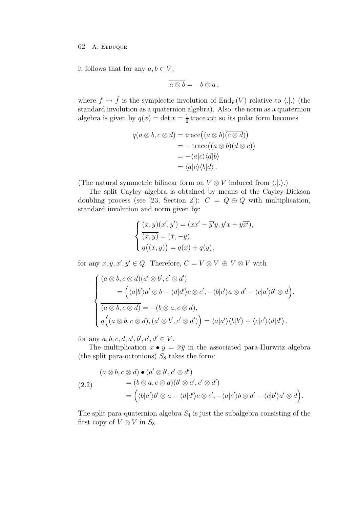it follows that for any  $a, b \in V$ ,

$$
\overline{a\otimes b} = -b\otimes a\,,
$$

where  $f \mapsto \bar{f}$  is the symplectic involution of  $\text{End}_F(V)$  relative to  $\langle .|. \rangle$  (the standard involution as a quaternion algebra). Also, the norm as a quaternion algebra is given by  $q(x) = \det x = \frac{1}{2}$  trace  $x\bar{x}$ ; so its polar form becomes

$$
q(a \otimes b, c \otimes d) = \text{trace}((a \otimes b)(\overline{c \otimes d}))
$$
  
= -\text{trace}((a \otimes b)(d \otimes c))  
= -\langle a|c\rangle \langle d|b\rangle  
= \langle a|c\rangle \langle b|d\rangle.

(The natural symmetric bilinear form on  $V \otimes V$  induced from  $\langle .|. \rangle$ .)

The split Cayley algebra is obtained by means of the Cayley-Dickson doubling process (see [23, Section 2]):  $C = Q \oplus Q$  with multiplication, standard involution and norm given by:

$$
\begin{cases}\n(x, y)(x', y') = (xx' - \overline{y'}y, y'x + y\overline{x'}),\n\overline{(x, y)} = (\overline{x}, -y),\nq((x, y)) = q(x) + q(y),\n\end{cases}
$$

for any  $x, y, x', y' \in Q$ . Therefore,  $C = V \otimes V \oplus V \otimes V$  with

$$
\begin{cases}\n(a \otimes b, c \otimes d)(a' \otimes b', c' \otimes d') \\
= (\langle a|b'\rangle a' \otimes b - \langle d|d'\rangle c \otimes c', -\langle b|c'\rangle a \otimes d' - \langle c|a'\rangle b' \otimes d), \\
\overline{(a \otimes b, c \otimes d)} = -(b \otimes a, c \otimes d), \\
q((a \otimes b, c \otimes d), (a' \otimes b', c' \otimes d')) = \langle a|a'\rangle \langle b|b'\rangle + \langle c|c'\rangle \langle d|d'\rangle,\n\end{cases}
$$

for any  $a, b, c, d, a', b', c', d' \in V$ .

The multiplication  $x \bullet y = \bar{x}\bar{y}$  in the associated para-Hurwitz algebra (the split para-octonions)  $S_8$  takes the form:

$$
(a \otimes b, c \otimes d) \bullet (a' \otimes b', c' \otimes d')
$$
  
=  $(b \otimes a, c \otimes d)(b' \otimes a', c' \otimes d')$   
=  $(\langle b|a'\rangle b' \otimes a - \langle d|d'\rangle c \otimes c', -\langle a|c'\rangle b \otimes d' - \langle c|b'\rangle a' \otimes d).$ 

The split para-quaternion algebra  $S_4$  is just the subalgebra consisting of the first copy of  $V \otimes V$  in  $S_8$ .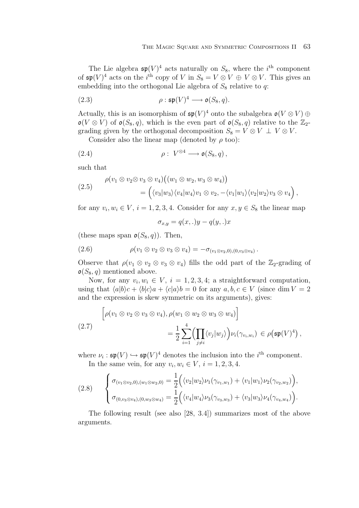The Lie algebra  $\mathfrak{sp}(V)^4$  acts naturally on  $S_8$ , where the i<sup>th</sup> component of  $\mathfrak{sp}(V)^4$  acts on the *i*<sup>th</sup> copy of V in  $S_8 = V \otimes V \oplus V \otimes V$ . This gives an embedding into the orthogonal Lie algebra of  $S_8$  relative to q:

(2.3) 
$$
\rho : \mathfrak{sp}(V)^4 \longrightarrow \mathfrak{o}(S_8, q).
$$

Actually, this is an isomorphism of  $\mathfrak{sp}(V)^4$  onto the subalgebra  $\mathfrak{o}(V \otimes V) \oplus$  $\mathfrak{o}(V \otimes V)$  of  $\mathfrak{o}(S_8, q)$ , which is the even part of  $\mathfrak{o}(S_8, q)$  relative to the  $\mathbb{Z}_2$ grading given by the orthogonal decomposition  $S_8 = V \otimes V \perp V \otimes V$ .

Consider also the linear map (denoted by  $\rho$  too):

(2.4) 
$$
\rho: V^{\otimes 4} \longrightarrow \mathfrak{o}(S_8, q),
$$

such that

(2.5) 
$$
\rho(v_1 \otimes v_2 \otimes v_3 \otimes v_4)((w_1 \otimes w_2, w_3 \otimes w_4))
$$

$$
= ((v_3|w_3\rangle\langle v_4|w_4\rangle v_1 \otimes v_2, -\langle v_1|w_1\rangle\langle v_2|w_2\rangle v_3 \otimes v_4),
$$

for any  $v_i, w_i \in V$ ,  $i = 1, 2, 3, 4$ . Consider for any  $x, y \in S_8$  the linear map

$$
\sigma_{x,y} = q(x,.)y - q(y,.)x
$$

(these maps span  $\mathfrak{o}(S_8, q)$ ). Then,

(2.6) 
$$
\rho(v_1 \otimes v_2 \otimes v_3 \otimes v_4) = -\sigma_{(v_1 \otimes v_2,0),(0,v_3 \otimes v_4)}.
$$

Observe that  $\rho(v_1 \otimes v_2 \otimes v_3 \otimes v_4)$  fills the odd part of the  $\mathbb{Z}_2$ -grading of  $\mathfrak{o}(S_8, q)$  mentioned above.

Now, for any  $v_i, w_i \in V$ ,  $i = 1, 2, 3, 4$ ; a straightforward computation, using that  $\langle a|b\rangle c + \langle b|c\rangle a + \langle c|a\rangle b = 0$  for any  $a, b, c \in V$  (since dim  $V = 2$ ) and the expression is skew symmetric on its arguments), gives:

$$
\left[\rho(v_1 \otimes v_2 \otimes v_3 \otimes v_4), \rho(w_1 \otimes w_2 \otimes w_3 \otimes w_4)\right]
$$
  
(2.7)  

$$
= \frac{1}{2} \sum_{i=1}^4 \Biggl(\prod_{j \neq i} \langle v_j | w_j \rangle \Biggr) \nu_i(\gamma_{v_i, w_i}) \in \rho(\mathfrak{sp}(V)^4),
$$

where  $\nu_i : \mathfrak{sp}(V) \hookrightarrow \mathfrak{sp}(V)^4$  denotes the inclusion into the *i*<sup>th</sup> component. In the same vein, for any  $v_i, w_i \in V$ ,  $i = 1, 2, 3, 4$ .

$$
(2.8) \qquad \begin{cases} \sigma_{(v_1 \otimes v_2,0),(w_1 \otimes w_2,0)} = \frac{1}{2} \Big( \langle v_2 | w_2 \rangle \nu_1(\gamma_{v_1,w_1}) + \langle v_1 | w_1 \rangle \nu_2(\gamma_{v_2,w_2}) \Big), \\ \sigma_{(0,v_3 \otimes v_4),(0,w_3 \otimes w_4)} = \frac{1}{2} \Big( \langle v_4 | w_4 \rangle \nu_3(\gamma_{v_3,w_3}) + \langle v_3 | w_3 \rangle \nu_4(\gamma_{v_4,w_4}) \Big). \end{cases}
$$

The following result (see also [28, 3.4]) summarizes most of the above arguments.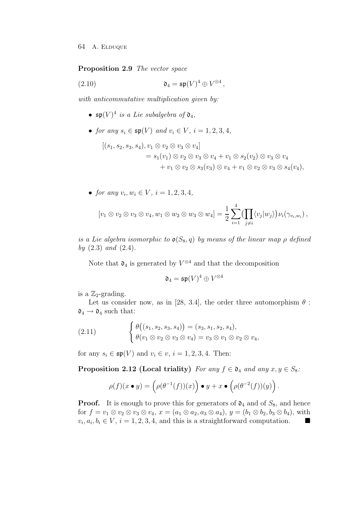**Proposition 2.9** The vector space

(2.10) 
$$
\mathfrak{d}_4 = \mathfrak{sp}(V)^4 \oplus V^{\otimes 4},
$$

with anticommutative multiplication given by:

- $\mathfrak{sp}(V)^4$  is a Lie subalgebra of  $\mathfrak{d}_4$ ,
- for any  $s_i \in \mathfrak{sp}(V)$  and  $v_i \in V$ ,  $i = 1, 2, 3, 4$ ,

$$
[(s_1, s_2, s_3, s_4), v_1 \otimes v_2 \otimes v_3 \otimes v_4]
$$
  
=  $s_1(v_1) \otimes v_2 \otimes v_3 \otimes v_4 + v_1 \otimes s_2(v_2) \otimes v_3 \otimes v_4$   
+  $v_1 \otimes v_2 \otimes s_3(v_3) \otimes v_4 + v_1 \otimes v_2 \otimes v_3 \otimes s_4(v_4),$ 

• for any  $v_i, w_i \in V$ ,  $i = 1, 2, 3, 4$ ,

$$
[v_1 \otimes v_2 \otimes v_3 \otimes v_4, w_1 \otimes w_2 \otimes w_3 \otimes w_4] = \frac{1}{2} \sum_{i=1}^4 \left( \prod_{j \neq i} \langle v_j | w_j \rangle \right) \nu_i(\gamma_{v_i, w_i}),
$$

is a Lie algebra isomorphic to  $\mathfrak{o}(S_8, q)$  by means of the linear map  $\rho$  defined by  $(2.3)$  and  $(2.4)$ .

Note that  $\mathfrak{d}_4$  is generated by  $V^{\otimes 4}$  and that the decomposition

$$
\mathfrak{d}_4 = \mathfrak{sp}(V)^4 \oplus V^{\otimes 4}
$$

is a  $\mathbb{Z}_2$ -grading.

Let us consider now, as in [28, 3.4], the order three automorphism  $\theta$ :  $\mathfrak{d}_4 \rightarrow \mathfrak{d}_4$  such that:

(2.11) 
$$
\begin{cases} \theta((s_1, s_2, s_3, s_4)) = (s_3, s_1, s_2, s_4), \\ \theta(v_1 \otimes v_2 \otimes v_3 \otimes v_4) = v_3 \otimes v_1 \otimes v_2 \otimes v_4, \end{cases}
$$

for any  $s_i \in \mathfrak{sp}(V)$  and  $v_i \in v$ ,  $i = 1, 2, 3, 4$ . Then:

**Proposition 2.12 (Local triality)** For any  $f \in \mathfrak{d}_4$  and any  $x, y \in S_8$ :

$$
\rho(f)(x \bullet y) = \left(\rho(\theta^{-1}(f))(x)\right) \bullet y + x \bullet \left(\rho(\theta^{-2}(f))(y)\right).
$$

**Proof.** It is enough to prove this for generators of  $\mathfrak{d}_4$  and of  $S_8$ , and hence for  $f = v_1 \otimes v_2 \otimes v_3 \otimes v_4$ ,  $x = (a_1 \otimes a_2, a_3 \otimes a_4)$ ,  $y = (b_1 \otimes b_2, b_3 \otimes b_4)$ , with  $v_i, a_i, b_i \in V$ ,  $i = 1, 2, 3, 4$ , and this is a straightforward computation.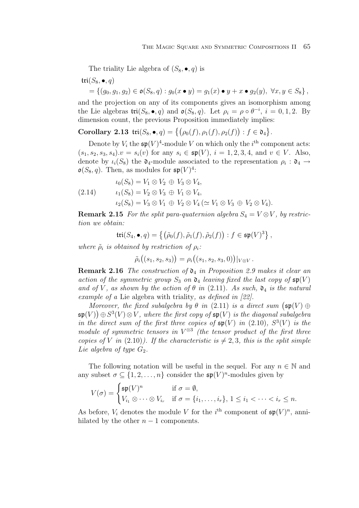The triality Lie algebra of  $(S_8, \bullet, q)$  is

$$
tri(S_8, \bullet, q)
$$
  
= { $(g_0, g_1, g_2) \in \mathfrak{o}(S_8, q) : g_0(x \bullet y) = g_1(x) \bullet y + x \bullet g_2(y), \forall x, y \in S_8$  },

and the projection on any of its components gives an isomorphism among the Lie algebras  $\text{tri}(S_8, \bullet, q)$  and  $\mathfrak{o}(S_8, q)$ . Let  $\rho_i = \rho \circ \theta^{-i}, i = 0, 1, 2$ . By dimension count, the previous Proposition immediately implies:

**Corollary 2.13**  $\text{tri}(S_8, \bullet, q) = \{(\rho_0(f), \rho_1(f), \rho_2(f)) : f \in \mathfrak{d}_4\}.$ 

Denote by  $V_i$  the  $\mathfrak{sp}(V)^4$ -module V on which only the  $i^{\text{th}}$  component acts:  $(s_1, s_2, s_3, s_4).v = s_i(v)$  for any  $s_i \in \mathfrak{sp}(V), i = 1, 2, 3, 4$ , and  $v \in V$ . Also, denote by  $\iota_i(S_8)$  the  $\mathfrak{d}_4$ -module associated to the representation  $\rho_i : \mathfrak{d}_4 \to$  $\mathfrak{o}(S_8, q)$ . Then, as modules for  $\mathfrak{sp}(V)^4$ :

$$
\iota_0(S_8) = V_1 \otimes V_2 \oplus V_3 \otimes V_4,
$$
  
(2.14) 
$$
\iota_1(S_8) = V_2 \otimes V_3 \oplus V_1 \otimes V_4,
$$

$$
\iota_2(S_8) = V_3 \otimes V_1 \oplus V_2 \otimes V_4 (\simeq V_1 \otimes V_3 \oplus V_2 \otimes V_4).
$$

**Remark 2.15** For the split para-quaternion algebra  $S_4 = V \otimes V$ , by restriction we obtain:

$$
\mathfrak{tri}(S_4,\bullet,q)=\left\{\left(\tilde{\rho}_0(f),\tilde{\rho}_1(f),\tilde{\rho}_2(f)\right):f\in\mathfrak{sp}(V)^3\right\},\right.
$$

where  $\tilde{\rho}_i$  is obtained by restriction of  $\rho_i$ :

$$
\tilde{\rho}_i((s_1,s_2,s_3)) = \rho_i((s_1,s_2,s_3,0))|_{V \otimes V}.
$$

**Remark 2.16** The construction of  $\mathfrak{d}_4$  in Proposition 2.9 makes it clear an action of the symmetric group  $S_3$  on  $\mathfrak{d}_4$  leaving fixed the last copy of  $\mathfrak{sp}(V)$ and of V, as shown by the action of  $\theta$  in (2.11). As such,  $\mathfrak{d}_4$  is the natural example of a Lie algebra with triality, as defined in [22].

Moreover, the fixed subalgebra by  $\theta$  in (2.11) is a direct sum  $(\mathfrak{sp}(V) \oplus$  $\mathfrak{sp}(V) \bigoplus S^3(V) \otimes V,$  where the first copy of  $\mathfrak{sp}(V)$  is the diagonal subalgebra in the direct sum of the first three copies of  $\mathfrak{sp}(V)$  in (2.10),  $S^3(V)$  is the module of symmetric tensors in  $V^{\otimes 3}$  (the tensor product of the first three copies of V in (2.10)). If the characteristic is  $\neq 2,3$ , this is the split simple Lie algebra of type  $G_2$ .

The following notation will be useful in the sequel. For any  $n \in \mathbb{N}$  and any subset  $\sigma \subseteq \{1, 2, ..., n\}$  consider the  $\mathfrak{sp}(V)^n$ -modules given by

$$
V(\sigma) = \begin{cases} \mathfrak{sp}(V)^n & \text{if } \sigma = \emptyset, \\ V_{i_1} \otimes \cdots \otimes V_{i_r} & \text{if } \sigma = \{i_1, \ldots, i_r\}, 1 \leq i_1 < \cdots < i_r \leq n. \end{cases}
$$

As before,  $V_i$  denotes the module V for the  $i^{\text{th}}$  component of  $\mathfrak{sp}(V)^n$ , annihilated by the other  $n-1$  components.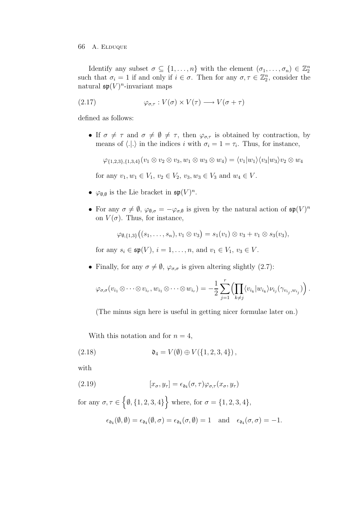Identify any subset  $\sigma \subseteq \{1, \ldots, n\}$  with the element  $(\sigma_1, \ldots, \sigma_n) \in \mathbb{Z}_2^n$ such that  $\sigma_i = 1$  if and only if  $i \in \sigma$ . Then for any  $\sigma, \tau \in \mathbb{Z}_2^n$ , consider the natural  $\mathfrak{sp}(V)^n$ -invariant maps

(2.17) 
$$
\varphi_{\sigma,\tau}: V(\sigma) \times V(\tau) \longrightarrow V(\sigma + \tau)
$$

defined as follows:

• If  $\sigma \neq \tau$  and  $\sigma \neq \emptyset \neq \tau$ , then  $\varphi_{\sigma,\tau}$  is obtained by contraction, by means of  $\langle .|. \rangle$  in the indices i with  $\sigma_i = 1 = \tau_i$ . Thus, for instance,

 $\varphi_{\{1,2,3\},\{1,3,4\}}(v_1\otimes v_2\otimes v_3,w_1\otimes w_3\otimes w_4)=\langle v_1|w_1\rangle\langle v_3|w_3\rangle v_2\otimes w_4$ 

for any  $v_1, w_1 \in V_1$ ,  $v_2 \in V_2$ ,  $v_3, w_3 \in V_3$  and  $w_4 \in V$ .

- $\varphi_{\emptyset,\emptyset}$  is the Lie bracket in  $\mathfrak{sp}(V)^n$ .
- For any  $\sigma \neq \emptyset$ ,  $\varphi_{\emptyset,\sigma} = -\varphi_{\sigma,\emptyset}$  is given by the natural action of  $\mathfrak{sp}(V)^n$ on  $V(\sigma)$ . Thus, for instance,

$$
\varphi_{\emptyset,\{1,3\}}((s_1,\ldots,s_n),v_1\otimes v_3)=s_1(v_1)\otimes v_3+v_1\otimes s_3(v_3),
$$

for any  $s_i \in \mathfrak{sp}(V)$ ,  $i = 1, ..., n$ , and  $v_1 \in V_1$ ,  $v_3 \in V$ .

• Finally, for any  $\sigma \neq \emptyset$ ,  $\varphi_{\sigma,\sigma}$  is given altering slightly (2.7):

$$
\varphi_{\sigma,\sigma}(v_{i_1} \otimes \cdots \otimes v_{i_r}, w_{i_1} \otimes \cdots \otimes w_{i_r}) = -\frac{1}{2} \sum_{j=1}^r \Biggl( \prod_{k \neq j} \langle v_{i_k} | w_{i_k} \rangle \nu_{i_j} (\gamma_{v_{i_j},w_{i_j}}) \Biggr) .
$$

(The minus sign here is useful in getting nicer formulae later on.)

With this notation and for  $n = 4$ ,

(2.18) 
$$
\mathfrak{d}_4 = V(\emptyset) \oplus V(\{1, 2, 3, 4\}),
$$

with

(2.19) 
$$
[x_{\sigma}, y_{\tau}] = \epsilon_{\mathfrak{d}_4}(\sigma, \tau) \varphi_{\sigma, \tau} (x_{\sigma}, y_{\tau})
$$

for any  $\sigma, \tau \in \{ \emptyset, \{1, 2, 3, 4\} \}$  where, for  $\sigma = \{1, 2, 3, 4\}$ ,

$$
\epsilon_{\mathfrak{d}_4}(\emptyset,\emptyset)=\epsilon_{\mathfrak{d}_4}(\emptyset,\sigma)=\epsilon_{\mathfrak{d}_4}(\sigma,\emptyset)=1\quad\text{and}\quad \epsilon_{\mathfrak{d}_4}(\sigma,\sigma)=-1.
$$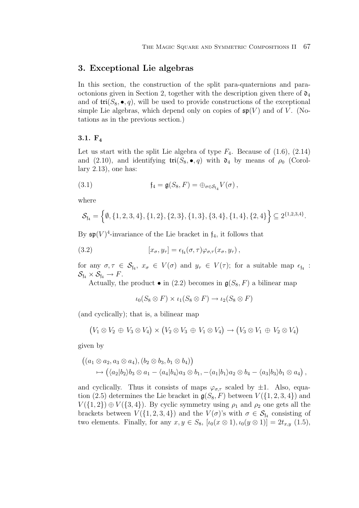# **3. Exceptional Lie algebras**

In this section, the construction of the split para-quaternions and paraoctonions given in Section 2, together with the description given there of  $\mathfrak{d}_4$ and of  $\text{tri}(S_8, \bullet, q)$ , will be used to provide constructions of the exceptional simple Lie algebras, which depend only on copies of  $\mathfrak{sp}(V)$  and of V. (Notations as in the previous section.)

# **3.1. F<sup>4</sup>**

Let us start with the split Lie algebra of type  $F_4$ . Because of  $(1.6)$ ,  $(2.14)$ and (2.10), and identifying  $\text{tri}(S_8, \bullet, q)$  with  $\mathfrak{d}_4$  by means of  $\rho_0$  (Corollary 2.13), one has:

(3.1) 
$$
\mathfrak{f}_4 = \mathfrak{g}(S_8, F) = \bigoplus_{\sigma \in \mathcal{S}_{\mathfrak{f}_4}} V(\sigma),
$$

where

$$
\mathcal{S}_{\mathfrak{f}_4} = \left\{ \emptyset, \{1, 2, 3, 4\}, \{1, 2\}, \{2, 3\}, \{1, 3\}, \{3, 4\}, \{1, 4\}, \{2, 4\} \right\} \subseteq 2^{\{1, 2, 3, 4\}}.
$$

By  $\mathfrak{sp}(V)^4$ -invariance of the Lie bracket in  $f_4$ , it follows that

(3.2) 
$$
[x_{\sigma}, y_{\tau}] = \epsilon_{\mathfrak{f}_4}(\sigma, \tau) \varphi_{\sigma, \tau}(x_{\sigma}, y_{\tau}),
$$

for any  $\sigma, \tau \in S_{\mathfrak{f}_4}, x_{\sigma} \in V(\sigma)$  and  $y_{\tau} \in V(\tau)$ ; for a suitable map  $\epsilon_{\mathfrak{f}_4}$ :  $\mathcal{S}_{\mathfrak{f}_4} \times \mathcal{S}_{\mathfrak{f}_4} \to F.$ 

Actually, the product  $\bullet$  in (2.2) becomes in  $g(S_8, F)$  a bilinear map

$$
\iota_0(S_8 \otimes F) \times \iota_1(S_8 \otimes F) \to \iota_2(S_8 \otimes F)
$$

(and cyclically); that is, a bilinear map

$$
(V_1 \otimes V_2 \oplus V_3 \otimes V_4) \times (V_2 \otimes V_3 \oplus V_1 \otimes V_4) \rightarrow (V_3 \otimes V_1 \oplus V_2 \otimes V_4)
$$

given by

$$
((a_1 \otimes a_2, a_3 \otimes a_4), (b_2 \otimes b_3, b_1 \otimes b_4))
$$
  
\n
$$
\mapsto ((a_2|b_2)b_3 \otimes a_1 - \langle a_4|b_4\rangle a_3 \otimes b_1, -\langle a_1|b_1\rangle a_2 \otimes b_4 - \langle a_3|b_3\rangle b_1 \otimes a_4),
$$

and cyclically. Thus it consists of maps  $\varphi_{\sigma,\tau}$  scaled by  $\pm 1$ . Also, equation (2.5) determines the Lie bracket in  $g(S_8, F)$  between  $V(\{1, 2, 3, 4\})$  and  $V({1, 2}) \oplus V({3, 4})$ . By cyclic symmetry using  $\rho_1$  and  $\rho_2$  one gets all the brackets between  $V(\{1, 2, 3, 4\})$  and the  $V(\sigma)$ 's with  $\sigma \in S_{\mathfrak{f}_4}$  consisting of two elements. Finally, for any  $x, y \in S_8$ ,  $[\iota_0(x \otimes 1), \iota_0(y \otimes 1)] = 2t_{x,y}$  (1.5),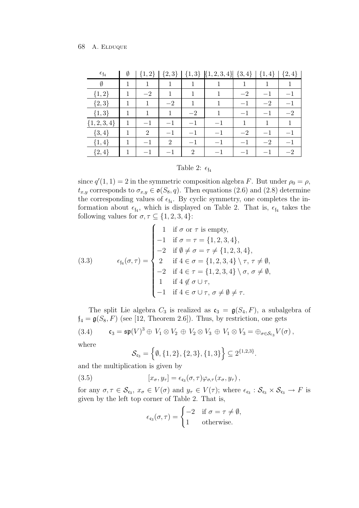| $\epsilon_{\mathfrak{f}_4}$ | Ø |                | $\{2,3\}$      |                             | ${1,3}$ ${1,2,3,4}$ | $\{3,4\}$ | $4\}$ | $\{2,4\}$ |
|-----------------------------|---|----------------|----------------|-----------------------------|---------------------|-----------|-------|-----------|
| Ø                           |   |                |                |                             |                     |           |       |           |
| ${1,2}$                     |   | $-2$           | 1              | 1                           | 1                   | $-2$      |       | $-1$      |
| ${2,3}$                     |   | 1              | $-2$           | 1                           | 1                   | $-1$      | $-2$  | — I       |
| $\{1,3\}$                   |   | 1              | 1              | $-2$                        | 1                   | $-1$      |       | $-2$      |
| $\{1, 2, 3, 4\}$            | 1 | $-1$           | $-1$           | $-1$                        | $-1$                | 1         | 1     |           |
| $\{3,4\}$                   | 1 | $\overline{2}$ | $-1$           | $-1$                        | $-1$                | $-2$      | $-1$  | $-1$      |
| $\{1,4\}$                   |   | $-1$           | $\overline{2}$ | $-1$                        | $-1$                | $-1$      | $-2$  | $-1$      |
| $\{2,4\}$                   |   | $-1$           | $-1$           | $\mathcal{D}_{\mathcal{L}}$ | $-1$                |           |       | $-2$      |

# Table 2:  $\epsilon_{\mathfrak{f}_4}$

since  $q'(1, 1) = 2$  in the symmetric composition algebra F. But under  $\rho_0 = \rho$ ,  $t_{x,y}$  corresponds to  $\sigma_{x,y} \in \mathfrak{o}(S_8, q)$ . Then equations (2.6) and (2.8) determine the corresponding values of  $\epsilon_{\mathfrak{f}_4}$ . By cyclic symmetry, one completes the information about  $\epsilon_{f_4}$ , which is displayed on Table 2. That is,  $\epsilon_{f_4}$  takes the following values for  $\sigma, \tau \subseteq \{1, 2, 3, 4\}$ :

(3.3) 
$$
\epsilon_{\mathfrak{f}_4}(\sigma,\tau) = \begin{cases} 1 & \text{if } \sigma \text{ or } \tau \text{ is empty,} \\ -1 & \text{if } \sigma = \tau = \{1,2,3,4\}, \\ -2 & \text{if } \emptyset \neq \sigma = \tau \neq \{1,2,3,4\}, \\ 2 & \text{if } 4 \in \sigma = \{1,2,3,4\} \setminus \tau, \tau \neq \emptyset, \\ -2 & \text{if } 4 \in \tau = \{1,2,3,4\} \setminus \sigma, \sigma \neq \emptyset, \\ 1 & \text{if } 4 \notin \sigma \cup \tau, \\ -1 & \text{if } 4 \in \sigma \cup \tau, \sigma \neq \emptyset \neq \tau. \end{cases}
$$

The split Lie algebra  $C_3$  is realized as  $\mathfrak{c}_3 = \mathfrak{g}(S_4, F)$ , a subalgebra of  $f_4 = \mathfrak{g}(S_8, F)$  (see [12, Theorem 2.6]). Thus, by restriction, one gets (3.4)  $\mathfrak{c}_3 = \mathfrak{sp}(V)^3 \oplus V_1 \otimes V_2 \oplus V_2 \otimes V_3 \oplus V_1 \otimes V_3 = \oplus_{\sigma \in \mathcal{S}_{\mathfrak{c}_3}} V(\sigma)$ , where

$$
\mathcal{S}_{\mathfrak{c}_3} = \Big\{ \emptyset, \{1,2\}, \{2,3\}, \{1,3\} \Big\} \subseteq 2^{\{1,2,3\}}.
$$

and the multiplication is given by

(3.5) 
$$
[x_{\sigma}, y_{\tau}] = \epsilon_{\mathfrak{c}_3}(\sigma, \tau) \varphi_{\sigma, \tau}(x_{\sigma}, y_{\tau}),
$$

for any  $\sigma, \tau \in \mathcal{S}_{c_3}, x_{\sigma} \in V(\sigma)$  and  $y_{\tau} \in V(\tau)$ ; where  $\epsilon_{c_3} : \mathcal{S}_{c_3} \times \mathcal{S}_{c_3} \to F$  is given by the left top corner of Table 2. That is,

$$
\epsilon_{\epsilon_3}(\sigma,\tau) = \begin{cases}\n-2 & \text{if } \sigma = \tau \neq \emptyset, \\
1 & \text{otherwise.} \n\end{cases}
$$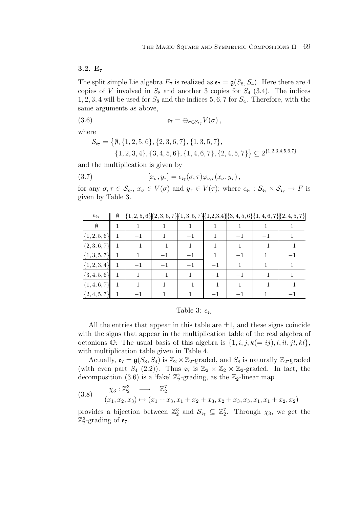# **3.2. E<sup>7</sup>**

The split simple Lie algebra  $E_7$  is realized as  $\mathfrak{e}_7 = \mathfrak{g}(S_8, S_4)$ . Here there are 4 copies of V involved in  $S_8$  and another 3 copies for  $S_4$  (3.4). The indices  $1, 2, 3, 4$  will be used for  $S_8$  and the indices 5, 6, 7 for  $S_4$ . Therefore, with the same arguments as above,

(3.6) 
$$
\mathfrak{e}_7 = \bigoplus_{\sigma \in \mathcal{S}_{\varepsilon_7}} V(\sigma),
$$

where

$$
\mathcal{S}_{\epsilon_7} = \{ \emptyset, \{1, 2, 5, 6\}, \{2, 3, 6, 7\}, \{1, 3, 5, 7\},\newline \{1, 2, 3, 4\}, \{3, 4, 5, 6\}, \{1, 4, 6, 7\}, \{2, 4, 5, 7\} \} \subseteq 2^{\{1, 2, 3, 4, 5, 6, 7\}}
$$

and the multiplication is given by

(3.7) 
$$
[x_{\sigma}, y_{\tau}] = \epsilon_{\mathfrak{e}_7}(\sigma, \tau) \varphi_{\sigma, \tau}(x_{\sigma}, y_{\tau}),
$$

for any  $\sigma, \tau \in \mathcal{S}_{\epsilon_7}, x_{\sigma} \in V(\sigma)$  and  $y_{\tau} \in V(\tau)$ ; where  $\epsilon_{\epsilon_7} : \mathcal{S}_{\epsilon_7} \times \mathcal{S}_{\epsilon_7} \to F$  is given by Table 3.

| $\epsilon_{\mathfrak{e}_7}$ | Ø |      |      |      |      |      | $\{1,2,5,6\}\{2,3,6,7\}\{1,3,5,7\}\{1,2,3,4\}\{3,4,5,6\}\{1,4,6,7\}\{2,4,5,7\}$ |     |
|-----------------------------|---|------|------|------|------|------|---------------------------------------------------------------------------------|-----|
| Ø                           |   |      |      |      |      |      |                                                                                 |     |
| $\{1, 2, 5, 6\}$            | 1 | $-1$ |      | $-1$ |      |      |                                                                                 |     |
| ${2, 3, 6, 7}$              | 1 | $-1$ | $-1$ | 1    |      |      |                                                                                 |     |
| $\{1, 3, 5, 7\}$            | 1 |      | $-1$ | $-1$ |      | $-1$ |                                                                                 | -1  |
| $\{1, 2, 3, 4\}$            | 1 |      | $-1$ | $-1$ |      |      |                                                                                 |     |
| $\{3, 4, 5, 6\}$            | 1 |      | $-1$ |      | $-1$ |      |                                                                                 |     |
| $\{1,4,6,7\}$               |   |      |      | $-1$ |      |      |                                                                                 |     |
| $\{2,4,5,7\}$               |   |      |      |      |      |      |                                                                                 | — I |

Table 3:  $\epsilon_{\mathfrak{e}_7}$ 

All the entries that appear in this table are  $\pm 1$ , and these signs coincide with the signs that appear in the multiplication table of the real algebra of octonions  $\mathbb{O}$ : The usual basis of this algebra is  $\{1, i, j, k(= ij), l, il, jl, kl\}$ , with multiplication table given in Table 4.

Actually,  $\mathfrak{e}_7 = \mathfrak{g}(S_8, S_4)$  is  $\mathbb{Z}_2 \times \mathbb{Z}_2$ -graded, and  $S_8$  is naturally  $\mathbb{Z}_2$ -graded (with even part  $S_4$  (2.2)). Thus  $\mathfrak{e}_7$  is  $\mathbb{Z}_2 \times \mathbb{Z}_2 \times \mathbb{Z}_2$ -graded. In fact, the decomposition (3.6) is a 'fake'  $\mathbb{Z}_2^7$ -grading, as the  $\mathbb{Z}_2$ -linear map

$$
(3.8) \quad\n\begin{array}{rcl}\n\chi_3: \mathbb{Z}_2^3 & \longrightarrow & \mathbb{Z}_2^7 \\
(x_1, x_2, x_3) & \mapsto (x_1 + x_3, x_1 + x_2 + x_3, x_2 + x_3, x_3, x_1, x_1 + x_2, x_2)\n\end{array}
$$

provides a bijection between  $\mathbb{Z}_2^3$  and  $\mathcal{S}_{\epsilon_7} \subseteq \mathbb{Z}_2^7$ . Through  $\chi_3$ , we get the  $\mathbb{Z}_2^3$ -grading of  $\mathfrak{e}_7$ .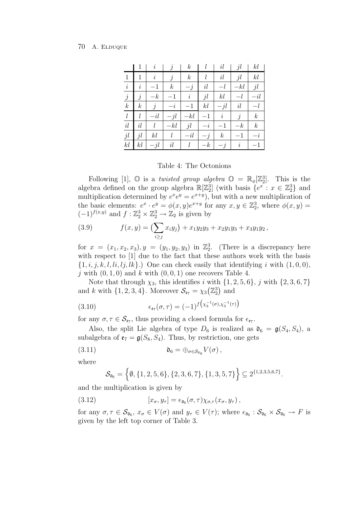|                  |                  | i         |                  | $\boldsymbol{k}$ |         | il               | jl        | kl               |
|------------------|------------------|-----------|------------------|------------------|---------|------------------|-----------|------------------|
| 1                | 1                | $\dot{i}$ | j                | $\boldsymbol{k}$ | l       | $il\,$           | jl        | kl               |
| $\dot{i}$        | $\dot{i}$        | $-1$      | $\boldsymbol{k}$ | $\overline{-}$   | il      |                  | $-kl$     | jl               |
| $\boldsymbol{j}$ | j                | $-k$      | $^{-1}$          | $\it i$          | jl      | kl               |           | $-i l$           |
| $\boldsymbol{k}$ | $\boldsymbol{k}$ | j         | $-2$             | $-1$             | kl      | $-jl$            | il        |                  |
| $\iota$          | l                | $-i l$    | $-il$            | $-kl$            | $^{-1}$ | $\dot{\imath}$   | j         | $\boldsymbol{k}$ |
| $il\,$           | il               | l         | $-kl$            | jl               | $-i$    | $-1$             | $-k$      | $\boldsymbol{k}$ |
| $jl\,$           | jl               | kl        | l                | $-i\ell$         | $-j$    | $\boldsymbol{k}$ | $^{-1}$   |                  |
| kl               | kl               | $-jl$     | $il\,$           | $\mathfrak l$    | $-k$    | $-j$             | $\dot{i}$ |                  |

Table 4: The Octonions

Following [1],  $\mathbb{O}$  is a *twisted group algebra*  $\mathbb{O} = \mathbb{R}_{\phi}[\mathbb{Z}_2^3]$ . This is the algebra defined on the group algebra  $\mathbb{R}[\mathbb{Z}_2^3]$  (with basis  $\{e^x : x \in \mathbb{Z}_2^3\}$  and multiplication determined by  $e^x e^y = e^{x+y}$ , but with a new multiplication of the basic elements:  $e^x \cdot e^y = \phi(x, y)e^{x+y}$  for any  $x, y \in \mathbb{Z}_2^3$ , where  $\phi(x, y) =$  $(-1)^{f(x,y)}$  and  $f: \mathbb{Z}_2^3 \times \mathbb{Z}_2^3 \to \mathbb{Z}_2$  is given by

(3.9) 
$$
f(x,y) = \left(\sum_{i\geq j} x_i y_j\right) + x_1 y_2 y_3 + x_2 y_1 y_3 + x_3 y_1 y_2,
$$

for  $x = (x_1, x_2, x_3), y = (y_1, y_2, y_3)$  in  $\mathbb{Z}_2^3$ . (There is a discrepancy here with respect to [1] due to the fact that these authors work with the basis  $\{1, i, j, k, l, li, lj, lk\}$ .) One can check easily that identifying i with  $(1, 0, 0)$ , j with  $(0, 1, 0)$  and k with  $(0, 0, 1)$  one recovers Table 4.

Note that through  $\chi_3$ , this identifies i with  $\{1, 2, 5, 6\}$ , j with  $\{2, 3, 6, 7\}$ and k with  $\{1, 2, 3, 4\}$ . Moreover  $\mathcal{S}_{\epsilon_7} = \chi_3(\mathbb{Z}_2^3)$  and

(3.10) 
$$
\epsilon_{\mathfrak{e}_7}(\sigma,\tau) = (-1)^f \big( x_3^{-1}(\sigma), x_3^{-1}(\tau) \big)
$$

for any  $\sigma, \tau \in \mathcal{S}_{\varepsilon_7}$ , thus providing a closed formula for  $\epsilon_{\varepsilon_7}$ .

Also, the split Lie algebra of type  $D_6$  is realized as  $\mathfrak{d}_6 = \mathfrak{g}(S_4, S_4)$ , a subalgebra of  $\mathfrak{e}_7 = \mathfrak{g}(S_8, S_4)$ . Thus, by restriction, one gets

(3.11) 
$$
\mathfrak{d}_6 = \bigoplus_{\sigma \in \mathcal{S}_{\mathfrak{d}_6}} V(\sigma),
$$

where

$$
\mathcal{S}_{\mathfrak{d}_6} = \left\{ \emptyset, \{1, 2, 5, 6\}, \{2, 3, 6, 7\}, \{1, 3, 5, 7\} \right\} \subseteq 2^{\{1, 2, 3, 5, 6, 7\}}.
$$

and the multiplication is given by

(3.12) 
$$
[x_{\sigma}, y_{\tau}] = \epsilon_{\mathfrak{d}_{6}}(\sigma, \tau) \chi_{\sigma, \tau}(x_{\sigma}, y_{\tau}),
$$

for any  $\sigma, \tau \in \mathcal{S}_{\mathfrak{d}_6}$ ,  $x_{\sigma} \in V(\sigma)$  and  $y_{\tau} \in V(\tau)$ ; where  $\epsilon_{\mathfrak{d}_6} : \mathcal{S}_{\mathfrak{d}_6} \times \mathcal{S}_{\mathfrak{d}_6} \to F$  is given by the left top corner of Table 3.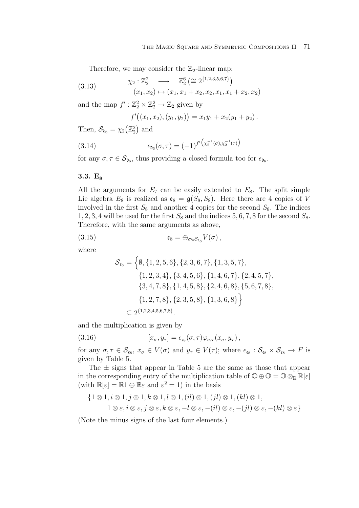Therefore, we may consider the  $\mathbb{Z}_2$ -linear map:

(3.13) 
$$
\chi_2: \mathbb{Z}_2^2 \longrightarrow \mathbb{Z}_2^6 \left( \cong 2^{\{1,2,3,5,6,7\}} \right)
$$

$$
(x_1, x_2) \mapsto (x_1, x_1 + x_2, x_2, x_1, x_1 + x_2, x_2)
$$

and the map  $f' : \mathbb{Z}_2^2 \times \mathbb{Z}_2^2 \to \mathbb{Z}_2$  given by

$$
f'((x_1,x_2),(y_1,y_2)) = x_1y_1 + x_2(y_1+y_2).
$$

Then,  $\mathcal{S}_{\mathfrak{d}_6} = \chi_2(\mathbb{Z}_2^2)$  and

(3.14) 
$$
\epsilon_{\mathfrak{d}_6}(\sigma,\tau) = (-1)^{f'} \big( x_2^{-1}(\sigma), x_2^{-1}(\tau) \big)
$$

for any  $\sigma, \tau \in \mathcal{S}_{\mathfrak{d}_6}$ , thus providing a closed formula too for  $\epsilon_{\mathfrak{d}_6}$ .

# **3.3. E<sup>8</sup>**

All the arguments for  $E_7$  can be easily extended to  $E_8$ . The split simple Lie algebra  $E_8$  is realized as  $\mathfrak{e}_8 = \mathfrak{g}(S_8, S_8)$ . Here there are 4 copies of V involved in the first  $S_8$  and another 4 copies for the second  $S_8$ . The indices 1, 2, 3, 4 will be used for the first  $S_8$  and the indices 5, 6, 7, 8 for the second  $S_8$ . Therefore, with the same arguments as above,

(3.15) 
$$
\mathfrak{e}_8 = \bigoplus_{\sigma \in \mathcal{S}_{\mathfrak{e}_8}} V(\sigma),
$$

where

$$
\mathcal{S}_{\epsilon_8} = \left\{ \emptyset, \{1, 2, 5, 6\}, \{2, 3, 6, 7\}, \{1, 3, 5, 7\}, \{1, 2, 3, 4\}, \{3, 4, 5, 6\}, \{1, 4, 6, 7\}, \{2, 4, 5, 7\}, \{3, 4, 7, 8\}, \{1, 4, 5, 8\}, \{2, 4, 6, 8\}, \{5, 6, 7, 8\}, \{1, 2, 7, 8\}, \{2, 3, 5, 8\}, \{1, 3, 6, 8\} \right\}
$$
\n
$$
\subseteq 2^{\{1, 2, 3, 4, 5, 6, 7, 8\}}.
$$

and the multiplication is given by

(3.16) 
$$
[x_{\sigma}, y_{\tau}] = \epsilon_{\epsilon_8}(\sigma, \tau) \varphi_{\sigma, \tau}(x_{\sigma}, y_{\tau}),
$$

for any  $\sigma, \tau \in \mathcal{S}_{\epsilon_8}, x_{\sigma} \in V(\sigma)$  and  $y_{\tau} \in V(\tau)$ ; where  $\epsilon_{\epsilon_8} : \mathcal{S}_{\epsilon_8} \times \mathcal{S}_{\epsilon_8} \to F$  is given by Table 5.

The  $\pm$  signs that appear in Table 5 are the same as those that appear in the corresponding entry of the multiplication table of  $\mathbb{O} \oplus \mathbb{O} = \mathbb{O} \otimes_{\mathbb{R}} \mathbb{R}[\varepsilon]$ (with  $\mathbb{R}[\varepsilon] = \mathbb{R}1 \oplus \mathbb{R}\varepsilon$  and  $\varepsilon^2 = 1$ ) in the basis

$$
\{1 \otimes 1, i \otimes 1, j \otimes 1, k \otimes 1, l \otimes 1, (il) \otimes 1, (jl) \otimes 1, (kl) \otimes 1, 1 \otimes \varepsilon, i \otimes \varepsilon, j \otimes \varepsilon, k \otimes \varepsilon, -l \otimes \varepsilon, -(il) \otimes \varepsilon, -(jl) \otimes \varepsilon, -(kl) \otimes \varepsilon\}
$$

(Note the minus signs of the last four elements.)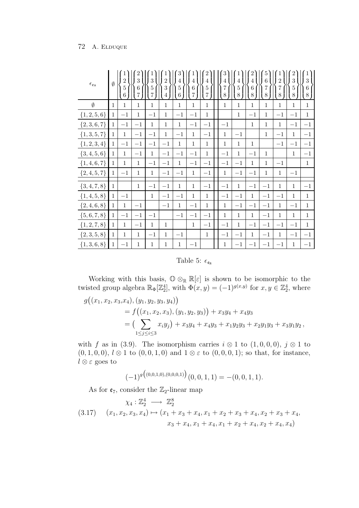| $\epsilon_{\mathfrak{e}_8}$ | $\emptyset$  | $\overline{2}$<br>$\bf 5$<br>$\,6$ | 3<br>6<br>$\overline{7}$ | 3<br>$\overline{5}$<br>7 | $\overline{2}$<br>3<br>4 | 3<br>4<br>$\overline{5}$<br>$\,6\,$ | 4<br>$\overline{6}$<br>$\overline{7}$ | 4<br>$\overline{5}$<br>$\overline{7}$ | 4<br>$\overline{7}$<br>8 | 4<br>$\overline{5}$<br>8 | $\overline{4}$<br>$\overline{6}$<br>$8\,$ | 6<br>$\overline{7}$<br>$8\,$ | $\overline{2}$<br>$\overline{7}$<br>$8\,$ | 3<br>$\overline{5}$<br>8 | 3<br>$\,6$<br>$8\,$ |
|-----------------------------|--------------|------------------------------------|--------------------------|--------------------------|--------------------------|-------------------------------------|---------------------------------------|---------------------------------------|--------------------------|--------------------------|-------------------------------------------|------------------------------|-------------------------------------------|--------------------------|---------------------|
| $\emptyset$                 | $\mathbf{1}$ | $\mathbf{1}$                       | $\mathbf{1}$             | $\mathbf{1}$             | $\mathbf{1}$             | $\,1$                               | $\mathbf{1}$                          | $\mathbf{1}$                          | $\mathbf{1}$             | $\mathbf{1}$             | $\mathbf{1}$                              | $\mathbf{1}$                 | $\,1$                                     | $\mathbf{1}$             | $\mathbf{1}$        |
| $\{1, 2, 5, 6\}$            | $\mathbf{1}$ | $-1$                               | $\mathbf{1}$             | $-1$                     | $\mathbf{1}$             | $-1\,$                              | $-1$                                  | $\mathbf{1}$                          |                          | $\mathbf{1}$             | $-1$                                      | $\mathbf{1}$                 | $-1$                                      | $-1$                     | $\mathbf{1}$        |
| $\{2,3,6,7\}$               | $\mathbf{1}$ | $-1$                               | $-1$                     | $\mathbf{1}$             | $\mathbf{1}$             | $\mathbf{1}$                        | $-1$                                  | $-1$                                  | $-1$                     |                          | $\mathbf{1}$                              | $\mathbf{1}$                 | $\mathbf{1}$                              | $-1$                     | $-1$                |
| $\{1, 3, 5, 7\}$            | $\mathbf{1}$ | $\mathbf{1}$                       | $-1\,$                   | $-1\,$                   | $\mathbf{1}$             | $-1$                                | $\mathbf{1}$                          | $-1$                                  | $\mathbf{1}$             | $-1$                     |                                           | $\,1\,$                      | $-1$                                      | $\mathbf{1}$             | $-1$                |
| $\{1, 2, 3, 4\}$            | $\mathbf{1}$ | $-1$                               | $-1\,$                   | $-1\,$                   | $-1$                     | $\,1$                               | $\mathbf{1}$                          | $\mathbf{1}$                          | $\,1$                    | $\mathbf{1}$             | $\mathbf{1}$                              |                              | $-1\,$                                    | $-1$                     | $-1$                |
| $\{3, 4, 5, 6\}$            | $\mathbf{1}$ | $\mathbf{1}$                       | $-1\,$                   | $\mathbf{1}$             | $-1$                     | $-1$                                | $-1$                                  | $\mathbf{1}$                          | $-1$                     | $\mathbf{1}$             | $-1$                                      | $\mathbf{1}$                 |                                           | $\mathbf{1}$             | $^{-1}$             |
| $\{1,4,6,7\}$               | 1            | $\mathbf{1}$                       | $\mathbf{1}$             | $-1\,$                   | $-1$                     | $\mathbf{1}$                        | $-1$                                  | $-1$                                  | $-1$                     | $^{-1}$                  | $1\,$                                     | $\mathbf{1}$                 | $-1$                                      |                          | $\mathbf{1}$        |
| $\{2,4,5,7\}$               | $\mathbf{1}$ | $-1$                               | $\mathbf{1}$             | $\mathbf{1}$             | $-1$                     | $-1$                                | $\mathbf{1}$                          | $-1\,$                                | $\mathbf{1}$             | $-1$                     | $-1\,$                                    | $\mathbf{1}$                 | $\mathbf{1}$                              | $-1$                     |                     |
| ${3, 4, 7, 8}$              | $\mathbf{1}$ |                                    | $\mathbf{1}$             | $-1$                     | $-1$                     | $\,1\,$                             | $\mathbf{1}$                          | $-1$                                  | $-1$                     | $\mathbf{1}$             | $-1$                                      | $-1$                         | $1\,$                                     | $\mathbf{1}$             | $-1$                |
| $\{1,4,5,8\}$               | $\mathbf{1}$ | $-1$                               |                          | $\mathbf{1}$             | $-1$                     | $-1$                                | $\mathbf{1}$                          | $\mathbf{1}$                          | $-1$                     | $-1$                     | $\mathbf{1}$                              | $-1\,$                       | $-1$                                      | $\mathbf{1}$             | $\mathbf{1}$        |
| ${2, 4, 6, 8}$              | $\mathbf{1}$ | $\mathbf{1}$                       | $-1\,$                   |                          | $-1$                     | $\mathbf{1}$                        | $-1$                                  | $\mathbf{1}$                          | $\mathbf{1}$             | $-1$                     | $-1$                                      | $-1\,$                       | $\mathbf{1}$                              | $-1$                     | $\mathbf{1}$        |
| $\{5,6,7,8\}$               | $\mathbf{1}$ | $-1$                               | $-1\,$                   | $-1$                     |                          | $-1$                                | $-1$                                  | $-1$                                  | $\mathbf{1}$             | $\mathbf{1}$             | $\mathbf{1}$                              | $-1$                         | $\mathbf{1}$                              | $\mathbf{1}$             | $\mathbf{1}$        |
| $\{1, 2, 7, 8\}$            | $\mathbf{1}$ | $\mathbf{1}$                       | $-1$                     | $\mathbf{1}$             | $\mathbf{1}$             |                                     | $\mathbf{1}$                          | $-1$                                  | $-1$                     | $\mathbf{1}$             | $-1$                                      | $-1$                         | $-1$                                      | $-1$                     | $\mathbf{1}$        |
| $\{2,3,5,8\}$               | $\mathbf{1}$ | $\mathbf{1}$                       | $\mathbf{1}$             | $-1\,$                   | $\mathbf{1}$             | $-1$                                |                                       | $\mathbf{1}$                          | $-1$                     | $-1$                     | $\mathbf{1}$                              | $-1$                         | $\mathbf{1}$                              | $-1$                     | $-1$                |
| $\{1, 3, 6, 8\}$            | $\mathbf{1}$ | $-1$                               | $\mathbf 1$              | $\mathbf{1}$             | $\mathbf{1}$             | $\mathbf{1}$                        | $-1$                                  |                                       | $\mathbf{1}$             | $^{-1}$                  | $-1$                                      | $-1$                         | $-1$                                      | $\mathbf{1}$             | $-1$                |

Table 5:  $\epsilon_{\mathfrak{e}_8}$ 

Working with this basis,  $\mathbb{O} \otimes_{\mathbb{R}} \mathbb{R}[\varepsilon]$  is shown to be isomorphic to the twisted group algebra  $\mathbb{R}_{\Phi}[\mathbb{Z}_{2}^{4}]$ , with  $\Phi(x, y) = (-1)^{g(x, y)}$  for  $x, y \in \mathbb{Z}_{2}^{4}$ , where

$$
g((x_1, x_2, x_3, x_4), (y_1, y_2, y_3, y_4))
$$
  
=  $f((x_1, x_2, x_3), (y_1, y_2, y_3)) + x_3y_4 + x_4y_3$   
=  $\left(\sum_{1 \le j \le i \le 3} x_iy_j\right) + x_3y_4 + x_4y_3 + x_1y_2y_3 + x_2y_1y_3 + x_3y_1y_2,$ 

with f as in (3.9). The isomorphism carries  $i \otimes 1$  to  $(1, 0, 0, 0)$ ,  $j \otimes 1$  to  $(0, 1, 0, 0), l \otimes 1$  to  $(0, 0, 1, 0)$  and  $1 \otimes \varepsilon$  to  $(0, 0, 0, 1)$ ; so that, for instance,  $l \otimes \varepsilon$  goes to

$$
(-1)^{g\big((0,0,1,0),(0,0,0,1)\big)}(0,0,1,1) = -(0,0,1,1).
$$

As for  $e_7$ , consider the  $\mathbb{Z}_2$ -linear map

$$
(3.17) \quad (x_1, x_2, x_3, x_4) \mapsto (x_1 + x_3 + x_4, x_1 + x_2 + x_3 + x_4, x_2 + x_3 + x_4, x_4)
$$
  

$$
x_3 + x_4, x_1 + x_4, x_1 + x_2 + x_4, x_2 + x_4, x_4)
$$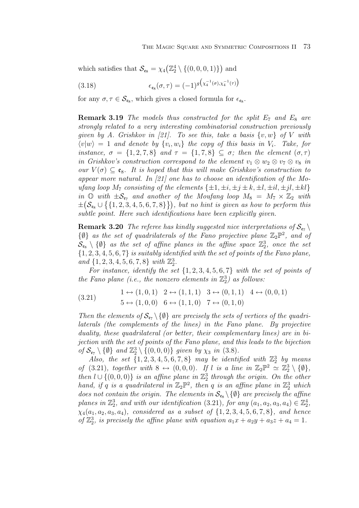which satisfies that  $\mathcal{S}_{\epsilon_8} = \chi_4\left(\mathbb{Z}_2^4 \setminus \{(0,0,0,1)\}\right)$  and

(3.18) 
$$
\epsilon_{\epsilon_8}(\sigma,\tau) = (-1)^{g(\chi_4^{-1}(\sigma),\chi_4^{-1}(\tau))}
$$

for any  $\sigma, \tau \in \mathcal{S}_{\epsilon_8}$ , which gives a closed formula for  $\epsilon_{\epsilon_8}$ .

**Remark 3.19** The models thus constructed for the split  $E_7$  and  $E_8$  are strongly related to a very interesting combinatorial construction previously given by A. Grishkov in [21]. To see this, take a basis  $\{v, w\}$  of V with  $\langle v|w \rangle = 1$  and denote by  $\{v_i, w_i\}$  the copy of this basis in  $V_i$ . Take, for instance,  $\sigma = \{1, 2, 7, 8\}$  and  $\tau = \{1, 7, 8\} \subseteq \sigma$ ; then the element  $(\sigma, \tau)$ in Grishkov's construction correspond to the element  $v_1 \otimes w_2 \otimes v_7 \otimes v_8$  in our  $V(\sigma) \subset \mathfrak{e}_8$ . It is hoped that this will make Grishkov's construction to appear more natural. In [21] one has to choose an identification of the Moufang loop  $M_7$  consisting of the elements  $\{\pm 1, \pm i, \pm j \pm k, \pm l, \pm il, \pm jl, \pm kl\}$ in  $\mathbb{O}$  with  $\pm \mathcal{S}_{\epsilon_7}$  and another of the Moufang loop  $M_8 = M_7 \times \mathbb{Z}_2$  with  $\pm\bigl(\mathcal{S}_{\epsilon_8}\cup\bigl\{\{1,2,3,4,5,6,7,8\}\bigr\}\bigr)$ , but no hint is given as how to perform this subtle point. Here such identifications have been explicitly given.

**Remark 3.20** The referee has kindly suggested nice interpretations of  $S_{\epsilon_7}$  $\{\emptyset\}$  as the set of quadrilaterals of the Fano projective plane  $\mathbb{Z}_2\mathbb{P}^2$ , and of  $\mathcal{S}_{\textbf{e}s} \setminus \{\emptyset\}$  as the set of affine planes in the affine space  $\mathbb{Z}_2^3$ , once the set  $\{1, 2, 3, 4, 5, 6, 7\}$  is suitably identified with the set of points of the Fano plane, and  $\{1, 2, 3, 4, 5, 6, 7, 8\}$  with  $\mathbb{Z}_2^3$ .

For instance, identify the set  $\{1, 2, 3, 4, 5, 6, 7\}$  with the set of points of the Fano plane (i.e., the nonzero elements in  $\mathbb{Z}_2^3$ ) as follows:

$$
(3.21) \t1 \leftrightarrow (1,0,1) \t2 \leftrightarrow (1,1,1) \t3 \leftrightarrow (0,1,1) \t4 \leftrightarrow (0,0,1) 5 \leftrightarrow (1,0,0) \t6 \leftrightarrow (1,1,0) \t7 \leftrightarrow (0,1,0)
$$

Then the elements of  $\mathcal{S}_{\epsilon_7} \setminus \{\emptyset\}$  are precisely the sets of vertices of the quadrilaterals (the complements of the lines) in the Fano plane. By projective duality, these quadrilateral (or better, their complementary lines) are in bijection with the set of points of the Fano plane, and this leads to the bijection of  $\mathcal{S}_{\epsilon_7} \setminus \{\emptyset\}$  and  $\mathbb{Z}_2^3 \setminus \{(0,0,0)\}$  given by  $\chi_3$  in (3.8).

Also, the set  $\{1, 2, 3, 4, 5, 6, 7, 8\}$  may be identified with  $\mathbb{Z}_2^3$  by means of (3.21), together with  $8 \leftrightarrow (0,0,0)$ . If l is a line in  $\mathbb{Z}_2\mathbb{P}^2 \simeq \mathbb{Z}_2^3 \setminus \{0\},$ then  $l \cup \{(0,0,0)\}\$  is an affine plane in  $\mathbb{Z}_2^3$  through the origin. On the other hand, if q is a quadrilateral in  $\mathbb{Z}_2 \mathbb{P}^2$ , then q is an affine plane in  $\mathbb{Z}_2^3$  which does not contain the origin. The elements in  $\mathcal{S}_{\epsilon_8} \setminus \{\emptyset\}$  are precisely the affine planes in  $\mathbb{Z}_2^3$ , and with our identification  $(3.21)$ , for any  $(a_1, a_2, a_3, a_4) \in \mathbb{Z}_2^4$ ,  $\chi_4(a_1, a_2, a_3, a_4)$ , considered as a subset of  $\{1, 2, 3, 4, 5, 6, 7, 8\}$ , and hence of  $\mathbb{Z}_2^3$ , is precisely the affine plane with equation  $a_1x + a_2y + a_3z + a_4 = 1$ .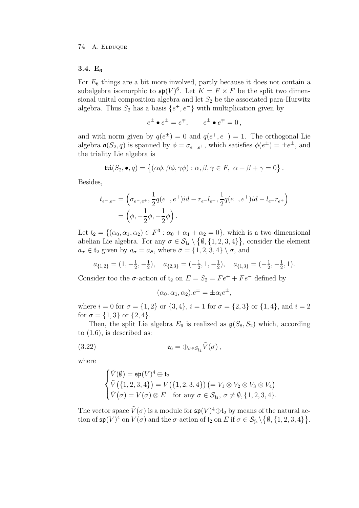## **3.4. E<sup>6</sup>**

For  $E_6$  things are a bit more involved, partly because it does not contain a subalgebra isomorphic to  $\mathfrak{sp}(V)^6$ . Let  $K = F \times F$  be the split two dimensional unital composition algebra and let  $S_2$  be the associated para-Hurwitz algebra. Thus  $S_2$  has a basis  $\{e^+, e^-\}$  with multiplication given by

$$
e^{\pm} \bullet e^{\pm} = e^{\mp}, \qquad e^{\pm} \bullet e^{\mp} = 0,
$$

and with norm given by  $q(e^{\pm}) = 0$  and  $q(e^+, e^-) = 1$ . The orthogonal Lie algebra  $\mathfrak{o}(S_2, q)$  is spanned by  $\phi = \sigma_{e^-, e^+}$ , which satisfies  $\phi(e^{\pm}) = \pm e^{\pm}$ , and the triality Lie algebra is

$$
\mathfrak{tri}(S_2,\bullet,q)=\{(\alpha\phi,\beta\phi,\gamma\phi):\alpha,\beta,\gamma\in F,\ \alpha+\beta+\gamma=0\}\,.
$$

Besides,

$$
t_{e^-,e^+} = \left(\sigma_{e^-,e^+}, \frac{1}{2}q(e^-,e^+)id - r_{e^-}l_{e^+}, \frac{1}{2}q(e^-,e^+)id - l_{e^-}r_{e^+}\right)
$$
  
=  $\left(\phi, -\frac{1}{2}\phi, -\frac{1}{2}\phi\right).$ 

Let  $\mathfrak{t}_2 = \{(\alpha_0, \alpha_1, \alpha_2) \in F^3 : \alpha_0 + \alpha_1 + \alpha_2 = 0\}$ , which is a two-dimensional abelian Lie algebra. For any  $\sigma \in \mathcal{S}_{\mathfrak{f}_4} \setminus \{\emptyset, \{1, 2, 3, 4\}\}\,$  consider the element  $a_{\sigma} \in \mathfrak{t}_2$  given by  $a_{\sigma} = a_{\bar{\sigma}}$ , where  $\bar{\sigma} = \{1, 2, 3, 4\} \setminus \sigma$ , and

$$
a_{\{1,2\}} = (1, -\frac{1}{2}, -\frac{1}{2}), \quad a_{\{2,3\}} = (-\frac{1}{2}, 1, -\frac{1}{2}), \quad a_{\{1,3\}} = (-\frac{1}{2}, -\frac{1}{2}, 1).
$$

Consider too the  $\sigma$ -action of  $\mathfrak{t}_2$  on  $E = S_2 = Fe^+ + Fe^-$  defined by

$$
(\alpha_0, \alpha_1, \alpha_2).e^{\pm} = \pm \alpha_i e^{\pm},
$$

where  $i = 0$  for  $\sigma = \{1, 2\}$  or  $\{3, 4\}$ ,  $i = 1$  for  $\sigma = \{2, 3\}$  or  $\{1, 4\}$ , and  $i = 2$ for  $\sigma = \{1, 3\}$  or  $\{2, 4\}.$ 

Then, the split Lie algebra  $E_6$  is realized as  $\mathfrak{g}(S_8, S_2)$  which, according to  $(1.6)$ , is described as:

(3.22) 
$$
\mathfrak{e}_6 = \bigoplus_{\sigma \in \mathcal{S}_{\mathfrak{f}_4}} \tilde{V}(\sigma),
$$

where

$$
\begin{cases} \tilde{V}(\emptyset) = \mathfrak{sp}(V)^4 \oplus \mathfrak{t}_2 \\ \tilde{V}(\{1, 2, 3, 4\}) = V(\{1, 2, 3, 4\}) \left(= V_1 \otimes V_2 \otimes V_3 \otimes V_4\right) \\ \tilde{V}(\sigma) = V(\sigma) \otimes E \quad \text{for any } \sigma \in \mathcal{S}_{\mathfrak{f}_4}, \ \sigma \neq \emptyset, \{1, 2, 3, 4\}. \end{cases}
$$

The vector space  $\tilde{V}(\sigma)$  is a module for  $\mathfrak{sp}(V)^4 \oplus \mathfrak{t}_2$  by means of the natural action of  $\mathfrak{sp}(V)^4$  on  $V(\sigma)$  and the  $\sigma$ -action of  $\mathfrak{t}_2$  on E if  $\sigma \in \mathcal{S}_{\mathfrak{f}_4} \setminus \{ \emptyset, \{1, 2, 3, 4\} \}.$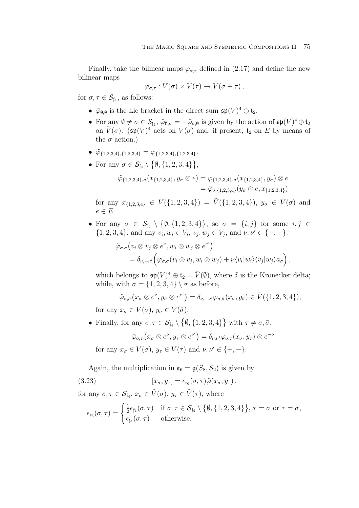Finally, take the bilinear maps  $\varphi_{\sigma,\tau}$  defined in (2.17) and define the new bilinear maps

$$
\tilde{\varphi}_{\sigma,\tau} : \tilde{V}(\sigma) \times \tilde{V}(\tau) \to \tilde{V}(\sigma + \tau) ,
$$

for  $\sigma, \tau \in \mathcal{S}_{\text{f}_4}$ , as follows:

- $\tilde{\varphi}_{\emptyset,\emptyset}$  is the Lie bracket in the direct sum  $\mathfrak{sp}(V)^4\oplus \mathfrak{t}_2$ .
- For any  $\emptyset \neq \sigma \in \mathcal{S}_{\mathfrak{f}_4}$ ,  $\tilde{\varphi}_{\emptyset,\sigma} = -\tilde{\varphi}_{\sigma,\emptyset}$  is given by the action of  $\mathfrak{sp}(V)^4 \oplus \mathfrak{t}_2$ on  $\tilde{V}(\sigma)$ . (sp $(V)^4$  acts on  $V(\sigma)$  and, if present,  $t_2$  on E by means of the  $\sigma$ -action.)
- $\tilde{\varphi}_{\{1,2,3,4\},\{1,2,3,4\}} = \varphi_{\{1,2,3,4\},\{1,2,3,4\}}.$
- For any  $\sigma \in \mathcal{S}_{\mathfrak{f}_4} \setminus \{ \emptyset, \{1, 2, 3, 4\} \},\$

$$
\tilde{\varphi}_{\{1,2,3,4\},\sigma}(x_{\{1,2,3,4\}},y_{\sigma}\otimes e)=\varphi_{\{1,2,3,4\},\sigma}(x_{\{1,2,3,4\}},y_{\sigma})\otimes e
$$

$$
=\tilde{\varphi}_{\sigma,\{1,2,3,4\}}(y_{\sigma}\otimes e,x_{\{1,2,3,4\}})
$$

for any  $x_{\{1,2,3,4\}} \in V(\{1,2,3,4\}) = \tilde{V}(\{1,2,3,4\}), y_{\sigma} \in V(\sigma)$  and  $e \in E$ .

• For any  $\sigma \in S_{\mathfrak{f}_4} \setminus \{ \emptyset, \{1, 2, 3, 4\} \},$  so  $\sigma = \{i, j\}$  for some  $i, j \in \mathfrak{f}_4$  $\{1, 2, 3, 4\}$ , and any  $v_i, w_i \in V_i$ ,  $v_j, w_j \in V_j$ , and  $\nu, \nu' \in \{+, -\}$ :

$$
\tilde{\varphi}_{\sigma,\sigma}(v_i \otimes v_j \otimes e^{\nu}, w_i \otimes w_j \otimes e^{\nu'})
$$
  
=  $\delta_{\nu,-\nu'}(\varphi_{\sigma,\sigma}(v_i \otimes v_j, w_i \otimes w_j) + \nu \langle v_i|w_i \rangle \langle v_j|w_j \rangle a_{\sigma}),$ 

which belongs to  $\mathfrak{sp}(V)^4 \oplus \mathfrak{t}_2 = \tilde{V}(\emptyset)$ , where  $\delta$  is the Kronecker delta; while, with  $\bar{\sigma} = \{1, 2, 3, 4\} \setminus \sigma$  as before,

$$
\tilde{\varphi}_{\sigma,\bar{\sigma}}(x_{\sigma} \otimes e^{\nu}, y_{\bar{\sigma}} \otimes e^{\nu'}) = \delta_{\nu,-\nu'} \varphi_{\sigma,\bar{\sigma}}(x_{\sigma}, y_{\bar{\sigma}}) \in \tilde{V}(\{1,2,3,4\}),
$$

for any  $x_{\sigma} \in V(\sigma)$ ,  $y_{\bar{\sigma}} \in V(\bar{\sigma})$ .

• Finally, for any  $\sigma, \tau \in \mathcal{S}_{\mathfrak{f}_4} \setminus \{ \emptyset, \{1, 2, 3, 4\} \}$  with  $\tau \neq \sigma, \bar{\sigma}$ ,

$$
\tilde{\varphi}_{\sigma,\tau}\left(x_{\sigma}\otimes e^{\nu},y_{\tau}\otimes e^{\nu'}\right)=\delta_{\nu,\nu'}\varphi_{\sigma,\tau}\left(x_{\sigma},y_{\tau}\right)\otimes e^{-\nu}
$$

for any  $x_{\sigma} \in V(\sigma)$ ,  $y_{\tau} \in V(\tau)$  and  $\nu, \nu' \in \{+, -\}.$ 

Again, the multiplication in  $\mathfrak{e}_6 = \mathfrak{g}(S_8, S_2)$  is given by

(3.23) 
$$
[x_{\sigma}, y_{\tau}] = \epsilon_{\epsilon_6}(\sigma, \tau) \tilde{\varphi}(x_{\sigma}, y_{\tau}),
$$

for any  $\sigma, \tau \in \mathcal{S}_{\mathfrak{f}_4}, x_{\sigma} \in \tilde{V}(\sigma), y_{\tau} \in \tilde{V}(\tau)$ , where

$$
\epsilon_{\epsilon_6}(\sigma,\tau) = \begin{cases} \frac{1}{2}\epsilon_{\mathfrak{f}_4}(\sigma,\tau) & \text{if } \sigma,\tau \in \mathcal{S}_{\mathfrak{f}_4} \setminus \{ \emptyset, \{1,2,3,4\} \}, \tau = \sigma \text{ or } \tau = \bar{\sigma}, \\ \epsilon_{\mathfrak{f}_4}(\sigma,\tau) & \text{otherwise.} \end{cases}
$$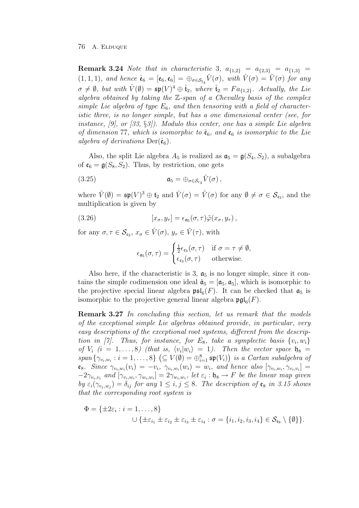**Remark 3.24** Note that in characteristic 3,  $a_{\{1,2\}} = a_{\{2,3\}} = a_{\{1,3\}} =$  $(1, 1, 1)$ , and hence  $\hat{\mathfrak{e}}_6 = [\mathfrak{e}_6, \mathfrak{e}_6] = \bigoplus_{\sigma \in \mathcal{S}_{64}} \hat{V}(\sigma)$ , with  $\hat{V}(\sigma) = \hat{V}(\sigma)$  for any  $\sigma \neq \emptyset$ , but with  $\hat{V}(\emptyset) = \mathfrak{sp}(V)^4 \oplus \hat{\mathfrak{t}}_2$ , where  $\hat{\mathfrak{t}}_2 = Fa_{\{1,2\}}$ . Actually, the Lie algebra obtained by taking the  $\mathbb{Z}\text{-span}$  of a Chevalley basis of the complex simple Lie algebra of type  $E_6$ , and then tensoring with a field of characteristic three, is no longer simple, but has a one dimensional center (see, for instance, [9], or  $(33, \S3)$ . Modulo this center, one has a simple Lie algebra of dimension 77, which is isomorphic to  $\hat{\mathfrak{e}}_6$ , and  $\mathfrak{e}_6$  is isomorphic to the Lie algebra of derivations  $Der(\hat{\mathfrak{e}}_6)$ .

Also, the split Lie algebra  $A_5$  is realized as  $\mathfrak{a}_5 = \mathfrak{g}(S_4, S_2)$ , a subalgebra of  $\mathfrak{e}_6 = \mathfrak{g}(S_8, S_2)$ . Thus, by restriction, one gets

(3.25) 
$$
\mathfrak{a}_5 = \bigoplus_{\sigma \in \mathcal{S}_{\varepsilon_3}} \hat{V}(\sigma),
$$

where  $\hat{V}(\emptyset) = \mathfrak{sp}(V)^3 \oplus \mathfrak{t}_2$  and  $\hat{V}(\sigma) = \tilde{V}(\sigma)$  for any  $\emptyset \neq \sigma \in \mathcal{S}_{\mathfrak{c}_3}$ , and the multiplication is given by

(3.26) 
$$
[x_{\sigma}, y_{\tau}] = \epsilon_{\mathfrak{a}_5}(\sigma, \tau) \tilde{\varphi}(x_{\sigma}, y_{\tau}),
$$

for any  $\sigma, \tau \in \mathcal{S}_{c_3}, x_{\sigma} \in \hat{V}(\sigma), y_{\tau} \in \hat{V}(\tau)$ , with

$$
\epsilon_{\mathfrak{a}_5}(\sigma,\tau) = \begin{cases} \frac{1}{2}\epsilon_{\mathfrak{c}_3}(\sigma,\tau) & \text{if } \sigma = \tau \neq \emptyset, \\ \epsilon_{\mathfrak{c}_3}(\sigma,\tau) & \text{otherwise.} \end{cases}
$$

Also here, if the characteristic is 3,  $a_5$  is no longer simple, since it contains the simple codimension one ideal  $\hat{\mathfrak{a}}_5 = [\mathfrak{a}_5, \mathfrak{a}_5]$ , which is isomorphic to the projective special linear algebra  $\mathfrak{psl}_6(F)$ . It can be checked that  $\mathfrak{a}_5$  is isomorphic to the projective general linear algebra  $\mathfrak{pgl}_6(F)$ .

**Remark 3.27** In concluding this section, let us remark that the models of the exceptional simple Lie algebras obtained provide, in particular, very easy descriptions of the exceptional root systems, different from the description in [7]. Thus, for instance, for  $E_8$ , take a symplectic basis  $\{v_i, w_i\}$ of  $V_i$   $(i = 1, ..., 8)$  (that is,  $\langle v_i | w_i \rangle = 1$ ). Then the vector space  $\mathfrak{h}_8 =$  $span\{\gamma_{v_i,w_i}: i=1,\ldots,8\}$   $(\subseteq V(\emptyset) = \bigoplus_{i=1}^8 \mathfrak{sp}(V_i))$  is a Cartan subalgebra of  $e_8$ . Since  $\gamma_{v_i,w_i}(v_i) = -v_i$ ,  $\gamma_{v_i,w_i}(w_i) = w_i$ , and hence also  $[\gamma_{v_i,w_i}, \gamma_{v_i,w_i}] =$  $-2\gamma_{v_i,v_i}$  and  $[\gamma_{v_i,w_i},\gamma_{w_i,w_i}]=2\gamma_{w_i,w_i}$ , let  $\varepsilon_i:\mathfrak{h}_8\to F$  be the linear map given by  $\varepsilon_i(\gamma_{v_i,w_j}) = \delta_{ij}$  for any  $1 \leq i, j \leq 8$ . The description of  $\mathfrak{e}_8$  in 3.15 shows that the corresponding root system is

$$
\Phi = \{\pm 2\varepsilon_i : i = 1, ..., 8\}
$$
  

$$
\cup \{\pm \varepsilon_{i_1} \pm \varepsilon_{i_2} \pm \varepsilon_{i_3} \pm \varepsilon_{i_4} : \sigma = \{i_1, i_2, i_3, i_4\} \in \mathcal{S}_{\varepsilon_8} \setminus \{\emptyset\}\}.
$$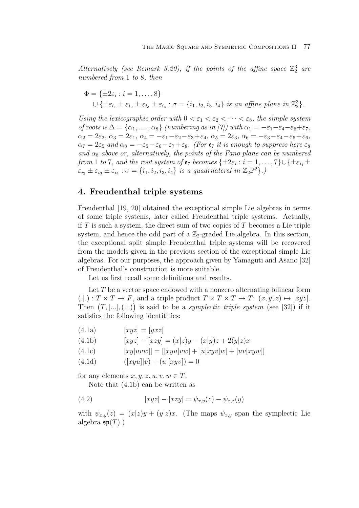Alternatively (see Remark 3.20), if the points of the affine space  $\mathbb{Z}_2^3$  are numbered from 1 to 8, then

$$
\Phi = \{\pm 2\varepsilon_i : i = 1, \dots, 8\}
$$
  

$$
\cup \{\pm \varepsilon_{i_1} \pm \varepsilon_{i_2} \pm \varepsilon_{i_3} \pm \varepsilon_{i_4} : \sigma = \{i_1, i_2, i_3, i_4\} \text{ is an affine plane in } \mathbb{Z}_2^3\}.
$$

Using the lexicographic order with  $0 < \varepsilon_1 < \varepsilon_2 < \cdots < \varepsilon_8$ , the simple system of roots is  $\Delta = {\alpha_1, \ldots, \alpha_8}$  (numbering as in [7]) with  $\alpha_1 = -\varepsilon_1 - \varepsilon_4 - \varepsilon_6 + \varepsilon_7$ ,  $\alpha_2 = 2\varepsilon_2, \, \alpha_3 = 2\varepsilon_1, \, \alpha_4 = -\varepsilon_1 - \varepsilon_2 - \varepsilon_3 + \varepsilon_4, \, \alpha_5 = 2\varepsilon_3, \, \alpha_6 = -\varepsilon_3 - \varepsilon_4 - \varepsilon_5 + \varepsilon_6,$  $\alpha_7 = 2\varepsilon_5$  and  $\alpha_8 = -\varepsilon_5 - \varepsilon_6 - \varepsilon_7 + \varepsilon_8$ . (For  $\varepsilon_7$  it is enough to suppress here  $\varepsilon_8$ ) and  $\alpha_8$  above or, alternatively, the points of the Fano plane can be numbered from 1 to 7, and the root system of  $e_7$  becomes  $\{\pm 2\varepsilon_i : i = 1, \ldots, 7\} \cup \{\pm \varepsilon_{i_1} \pm \varepsilon_{i_2}\}$  $\varepsilon_{i_2} \pm \varepsilon_{i_3} \pm \varepsilon_{i_4} : \sigma = \{i_1, i_2, i_3, i_4\}$  is a quadrilateral in  $\mathbb{Z}_2\mathbb{P}^2\}$ .)

# **4. Freudenthal triple systems**

Freudenthal [19, 20] obtained the exceptional simple Lie algebras in terms of some triple systems, later called Freudenthal triple systems. Actually, if  $T$  is such a system, the direct sum of two copies of  $T$  becomes a Lie triple system, and hence the odd part of a  $\mathbb{Z}_2$ -graded Lie algebra. In this section, the exceptional split simple Freudenthal triple systems will be recovered from the models given in the previous section of the exceptional simple Lie algebras. For our purposes, the approach given by Yamaguti and Asano [32] of Freudenthal's construction is more suitable.

Let us first recall some definitions and results.

Let  $T$  be a vector space endowed with a nonzero alternating bilinear form  $(.|.) : T \times T \to F$ , and a triple product  $T \times T \times T \to T$ :  $(x, y, z) \mapsto [xyz]$ . Then  $(T, [\ldots], (\ldots])$  is said to be a *symplectic triple system* (see [32]) if it satisfies the following identitities:

$$
(4.1a) \t [xyz] = [yxz]
$$

(4.1b)  $[xyz] - [xzy] = (x|z)y - (x|y)z + 2(y|z)x$ 

(4.1c) 
$$
[xy[uvw]] = [[xyu]vw] + [u[xyv]w] + [uv[xyw]]
$$

(4.1d) 
$$
([xyu]|v) + (u|[xyv]) = 0
$$

for any elements  $x, y, z, u, v, w \in T$ .

Note that (4.1b) can be written as

(4.2) 
$$
[xyz] - [xzy] = \psi_{x,y}(z) - \psi_{x,z}(y)
$$

with  $\psi_{x,y}(z)=(x|z)y + (y|z)x$ . (The maps  $\psi_{x,y}$  span the symplectic Lie algebra  $\mathfrak{sp}(T)$ .)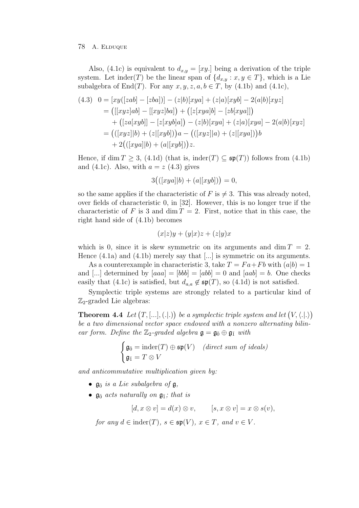Also, (4.1c) is equivalent to  $d_{x,y} = [xy]$  being a derivation of the triple system. Let inder(T) be the linear span of  $\{d_{x,y} : x, y \in T\}$ , which is a Lie subalgebra of  $End(T)$ . For any  $x, y, z, a, b \in T$ , by (4.1b) and (4.1c),

$$
(4.3) \quad 0 = [xy([zab] - [zba])] - (z|b)[xya] + (z|a)[xyb] - 2(a|b)[xyz]
$$
  
\n
$$
= ([[xyz]ab] - [[xyz]ba]) + ([z[xya]b] - [zb[xya]])
$$
  
\n
$$
+ ([za[xyb]] - [z[xyb]a]) - (z|b)[xya] + (z|a)[xya] - 2(a|b)[xyz]
$$
  
\n
$$
= (([xyz][b) + (z|[xyb]))a - (([xyz][a) + (z|[xya]))b
$$
  
\n
$$
+ 2(([xya][b) + (a|[xyb]))z.
$$

Hence, if dim  $T \geq 3$ , (4.1d) (that is, inder(T)  $\subseteq \mathfrak{sp}(T)$ ) follows from (4.1b) and (4.1c). Also, with  $a = z$  (4.3) gives

$$
3\big(([xya]|b) + (a|[xyb])\big) = 0,
$$

so the same applies if the characteristic of  $F$  is  $\neq 3$ . This was already noted, over fields of characteristic 0, in [32]. However, this is no longer true if the characteristic of F is 3 and dim  $T = 2$ . First, notice that in this case, the right hand side of (4.1b) becomes

$$
(x|z)y + (y|x)z + (z|y)x
$$

which is 0, since it is skew symmetric on its arguments and dim  $T = 2$ . Hence  $(4.1a)$  and  $(4.1b)$  merely say that [...] is symmetric on its arguments.

As a counterexample in characteristic 3, take  $T = Fa + Fb$  with  $(a|b)=1$ and [...] determined by  $[aaa] = [bbb] = [abb] = 0$  and  $[aab] = b$ . One checks easily that (4.1c) is satisfied, but  $d_{a,a} \notin \mathfrak{sp}(T)$ , so (4.1d) is not satisfied.

Symplectic triple systems are strongly related to a particular kind of  $\mathbb{Z}_2$ -graded Lie algebras:

**Theorem 4.4** Let  $(T, [\ldots], (\ldots])$  be a symplectic triple system and let  $(V, \langle \ldots \rangle)$ be a two dimensional vector space endowed with a nonzero alternating bilinear form. Define the  $\mathbb{Z}_2$ -graded algebra  $\mathfrak{g} = \mathfrak{g}_{\bar{0}} \oplus \mathfrak{g}_{\bar{1}}$  with

$$
\begin{cases} \mathfrak{g}_{\bar{0}} = \text{inder}(T) \oplus \mathfrak{sp}(V) & (\text{direct sum of ideals}) \\ \mathfrak{g}_{\bar{1}} = T \otimes V \end{cases}
$$

and anticommutative multiplication given by:

- $\mathfrak{g}_{\bar{0}}$  is a Lie subalgebra of  $\mathfrak{g}$ ,
- $\mathfrak{g}_{\bar{0}}$  acts naturally on  $\mathfrak{g}_{\bar{1}}$ ; that is

 $[d, x \otimes v] = d(x) \otimes v, \qquad [s, x \otimes v] = x \otimes s(v),$ 

for any  $d \in \text{inder}(T)$ ,  $s \in \mathfrak{sp}(V)$ ,  $x \in T$ , and  $v \in V$ .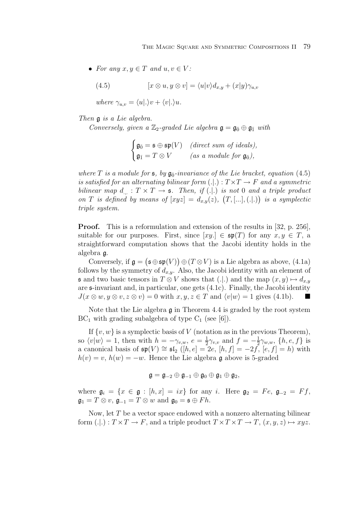• For any  $x, y \in T$  and  $u, v \in V$ :

(4.5) 
$$
[x \otimes u, y \otimes v] = \langle u|v \rangle d_{x,y} + (x|y)\gamma_{u,v}
$$

where  $\gamma_{u,v} = \langle u | . \rangle v + \langle v | . \rangle u$ .

Then g is a Lie algebra.

Conversely, given a  $\mathbb{Z}_2$ -graded Lie algebra  $\mathfrak{g} = \mathfrak{g}_{\bar{0}} \oplus \mathfrak{g}_{\bar{1}}$  with

$$
\begin{cases} \mathfrak{g}_{\bar{0}} = \mathfrak{s} \oplus \mathfrak{sp}(V) & (\text{direct sum of ideals}), \\ \mathfrak{g}_{\bar{1}} = T \otimes V & (\text{as a module for } \mathfrak{g}_{\bar{0}}), \end{cases}
$$

where T is a module for  $\mathfrak{s}$ , by  $\mathfrak{g}_{\bar{0}}$ -invariance of the Lie bracket, equation (4.5) is satisfied for an alternating bilinear form  $(.).$   $: T \times T \rightarrow F$  and a symmetric bilinear map  $d_{\dots} : T \times T \to \mathfrak{s}$ . Then, if (...) is not 0 and a triple product on T is defined by means of  $[xyz] = d_{x,y}(z)$ ,  $(T, [...] , (.))$  is a symplectic triple system.

**Proof.** This is a reformulation and extension of the results in [32, p. 256], suitable for our purposes. First, since  $[xy] \in \mathfrak{sp}(T)$  for any  $x, y \in T$ , a straightforward computation shows that the Jacobi identity holds in the algebra g.

Conversely, if  $\mathfrak{g} = (\mathfrak{s} \oplus \mathfrak{sp}(V)) \oplus (T \otimes V)$  is a Lie algebra as above, (4.1a) follows by the symmetry of  $d_{x,y}$ . Also, the Jacobi identity with an element of **s** and two basic tensors in  $T \otimes V$  shows that (.|.) and the map  $(x, y) \mapsto d_{x,y}$ are s-invariant and, in particular, one gets (4.1c). Finally, the Jacobi identity  $J(x \otimes w, y \otimes v, z \otimes v) = 0$  with  $x, y, z \in T$  and  $\langle v | w \rangle = 1$  gives (4.1b).

Note that the Lie algebra  $\mathfrak g$  in Theorem 4.4 is graded by the root system  $BC_1$  with grading subalgebra of type  $C_1$  (see [6]).

If  $\{v, w\}$  is a symplectic basis of V (notation as in the previous Theorem), so  $\langle v|w\rangle = 1$ , then with  $h = -\gamma_{v,w}$ ,  $e = \frac{1}{2}\gamma_{v,v}$  and  $f = -\frac{1}{2}\gamma_{w,w}$ ,  $\{h, e, f\}$  is a canonical basis of  $\mathfrak{sp}(V) \cong \mathfrak{sl}_2$  ([h, e] = 2e, [h, f] = −2f, [e, f] = h) with  $h(v) = v$ ,  $h(w) = -w$ . Hence the Lie algebra g above is 5-graded

$$
\mathfrak{g}=\mathfrak{g}_{-2}\oplus\mathfrak{g}_{-1}\oplus\mathfrak{g}_0\oplus\mathfrak{g}_1\oplus\mathfrak{g}_2,
$$

where  $\mathfrak{g}_i = \{x \in \mathfrak{g} : [h, x] = ix\}$  for any i. Here  $\mathfrak{g}_2 = Fe$ ,  $\mathfrak{g}_{-2} = Ff$ ,  $\mathfrak{g}_1 = T \otimes v$ ,  $\mathfrak{g}_{-1} = T \otimes w$  and  $\mathfrak{g}_0 = \mathfrak{s} \oplus Fh$ .

Now, let  $T$  be a vector space endowed with a nonzero alternating bilinear form  $(.): T \times T \to F$ , and a triple product  $T \times T \to T$ ,  $(x, y, z) \mapsto xyz$ .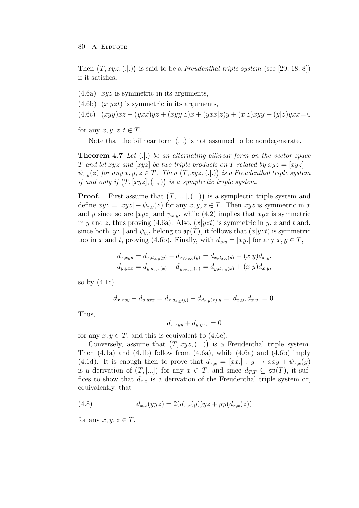## 80 A. ELDUQUE

Then  $(T, xyz, (.|.))$  is said to be a Freudenthal triple system (see [29, 18, 8]) if it satisfies:

- $(4.6a)$  xyz is symmetric in its arguments,
- $(4.6b)$   $(x|yzt)$  is symmetric in its arguments,
- (4.6c)  $(xyy)xz + (yxx)yz + (xyy|z)x + (yxx|z)y + (x|z)xyy + (y|z)yxx = 0$

for any  $x, y, z, t \in T$ .

Note that the bilinear form  $(.).$  is not assumed to be nondegenerate.

**Theorem 4.7** Let  $(.).$  be an alternating bilinear form on the vector space T and let xyz and  $[xyz]$  be two triple products on T related by  $xyz = [xyz]$  –  $\psi_{x,y}(z)$  for any  $x,y,z\in T$ . Then  $\bigl(T,xyz,(.\vert .)\bigr)$  is a Freudenthal triple system if and only if  $(T, [xyz], (.))$  is a symplectic triple system.

**Proof.** First assume that  $(T, [\ldots], (\ldots])$  is a symplectic triple system and define  $xyz = [xyz] - \psi_{x,y}(z)$  for any  $x, y, z \in T$ . Then  $xyz$  is symmetric in x and y since so are  $[xyz]$  and  $\psi_{x,y}$ , while (4.2) implies that  $xyz$  is symmetric in y and z, thus proving (4.6a). Also,  $(x|yzt)$  is symmetric in y, z and t and, since both [yz.] and  $\psi_{y,z}$  belong to  $\mathfrak{sp}(T)$ , it follows that  $(x|yzt)$  is symmetric too in x and t, proving (4.6b). Finally, with  $d_{x,y} = [xy]$  for any  $x, y \in T$ ,

$$
d_{x,xyy} = d_{x,d_{x,y}(y)} - d_{x,\psi_{x,y}(y)} = d_{x,d_{x,y}(y)} - (x|y)d_{x,y},
$$
  
\n
$$
d_{y,yxx} = d_{y,d_{y,x}(x)} - d_{y,\psi_{y,x}(x)} = d_{y,d_{x,y}(x)} + (x|y)d_{x,y},
$$

so by  $(4.1c)$ 

$$
d_{x,xyy} + d_{y,yxx} = d_{x,d_{x,y}(y)} + d_{d_{x,y}(x),y} = [d_{x,y}, d_{x,y}] = 0.
$$

Thus,

$$
d_{x,xyy} + d_{y,yxx} = 0
$$

for any  $x, y \in T$ , and this is equivalent to (4.6c).

Conversely, assume that  $(T, xyz, (.|.))$  is a Freudenthal triple system. Then  $(4.1a)$  and  $(4.1b)$  follow from  $(4.6a)$ , while  $(4.6a)$  and  $(4.6b)$  imply (4.1d). It is enough then to prove that  $d_{x,x} = [xx] : y \mapsto xxy + \psi_{x,x}(y)$ is a derivation of  $(T, [\dots])$  for any  $x \in T$ , and since  $d_{T,T} \subseteq \mathfrak{sp}(T)$ , it suffices to show that  $d_{x,x}$  is a derivation of the Freudenthal triple system or, equivalently, that

(4.8) 
$$
d_{x,x}(yyz) = 2(d_{x,x}(y))yz + yy(d_{x,x}(z))
$$

for any  $x, y, z \in T$ .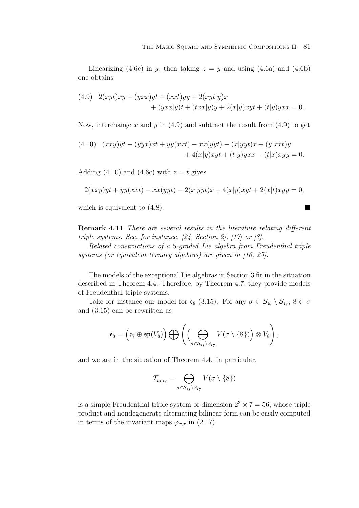Linearizing (4.6c) in y, then taking  $z = y$  and using (4.6a) and (4.6b) one obtains

(4.9) 
$$
2(xyt)xy + (yxx)yt + (xxt)yy + 2(xyt)y)x + (yxx|y)t + (txx|y)y + 2(x|y)xyt + (t|y)yxx = 0.
$$

Now, interchange x and y in  $(4.9)$  and subtract the result from  $(4.9)$  to get

(4.10) 
$$
(xxy)yt - (yyx)xt + yy(xxt) - xx(yyt) - (x|yyt)x + (y|xxt)y
$$

$$
+ 4(x|y)xyt + (t|y)yxx - (t|x)xyy = 0.
$$

Adding (4.10) and (4.6c) with  $z = t$  gives

$$
2(xxy)yt + yy(xxt) - xx(yyt) - 2(x|yyt)x + 4(x|y)xyt + 2(x|t)xyy = 0,
$$

which is equivalent to  $(4.8)$ .

**Remark 4.11** There are several results in the literature relating different triple systems. See, for instance, [24, Section 2], [17] or [8].

Related constructions of a 5-graded Lie algebra from Freudenthal triple systems (or equivalent ternary algebras) are given in [16, 25].

The models of the exceptional Lie algebras in Section 3 fit in the situation described in Theorem 4.4. Therefore, by Theorem 4.7, they provide models of Freudenthal triple systems.

Take for instance our model for  $\mathfrak{e}_8$  (3.15). For any  $\sigma \in \mathcal{S}_{\mathfrak{e}_8} \setminus \mathcal{S}_{\mathfrak{e}_7}$ ,  $8 \in \sigma$ and (3.15) can be rewritten as

$$
\mathfrak{e}_8=\left(\mathfrak{e}_7\oplus\mathfrak{sp}(V_8)\right)\bigoplus \left(\Bigl(\bigoplus_{\sigma\in\mathcal{S}_{\mathfrak{e}_8}\setminus\mathcal{S}_{\mathfrak{e}_7}}V(\sigma\setminus\{8\})\Bigr)\otimes V_8\right),
$$

and we are in the situation of Theorem 4.4. In particular,

$$
\mathcal{T}_{\mathfrak{e}_8,\mathfrak{e}_7} = \bigoplus_{\sigma \in \mathcal{S}_{\mathfrak{e}_8} \backslash \mathcal{S}_{\mathfrak{e}_7}} V(\sigma \setminus \{8\})
$$

is a simple Freudenthal triple system of dimension  $2^3 \times 7 = 56$ , whose triple product and nondegenerate alternating bilinear form can be easily computed in terms of the invariant maps  $\varphi_{\sigma,\tau}$  in (2.17).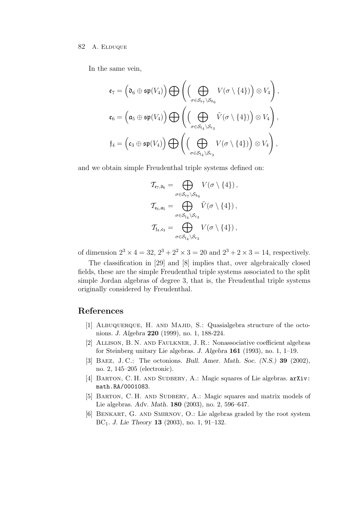## 82 A. ELDUQUE

In the same vein,

$$
\mathfrak{e}_7 = \left(\mathfrak{d}_6 \oplus \mathfrak{sp}(V_4)\right) \bigoplus \left(\left(\bigoplus_{\sigma \in \mathcal{S}_{\mathfrak{e}_7} \setminus \mathcal{S}_{\mathfrak{d}_6}} V(\sigma \setminus \{4\})\right) \otimes V_4\right),
$$

$$
\mathfrak{e}_6 = \left(\mathfrak{a}_5 \oplus \mathfrak{sp}(V_4)\right) \bigoplus \left(\left(\bigoplus_{\sigma \in \mathcal{S}_{\mathfrak{f}_4} \setminus \mathcal{S}_{\mathfrak{e}_3}} \tilde{V}(\sigma \setminus \{4\})\right) \otimes V_4\right),
$$

$$
\mathfrak{f}_4 = \left(\mathfrak{c}_3 \oplus \mathfrak{sp}(V_4)\right) \bigoplus \left(\left(\bigoplus_{\sigma \in \mathcal{S}_{\mathfrak{f}_4} \setminus \mathcal{S}_{\mathfrak{e}_3}} V(\sigma \setminus \{4\})\right) \otimes V_4\right),
$$

and we obtain simple Freudenthal triple systems defined on:

$$
\mathcal{T}_{\epsilon_7,\mathfrak{d}_6} = \bigoplus_{\sigma \in \mathcal{S}_{\epsilon_7} \backslash \mathcal{S}_{\mathfrak{d}_6}} V(\sigma \setminus \{4\}),
$$
\n
$$
\mathcal{T}_{\epsilon_6,\mathfrak{a}_5} = \bigoplus_{\sigma \in \mathcal{S}_{\mathfrak{f}_4} \backslash \mathcal{S}_{\epsilon_3}} \tilde{V}(\sigma \setminus \{4\}),
$$
\n
$$
\mathcal{T}_{\mathfrak{f}_4,\mathfrak{c}_3} = \bigoplus_{\sigma \in \mathcal{S}_{\mathfrak{f}_4} \backslash \mathcal{S}_{\epsilon_3}} V(\sigma \setminus \{4\}),
$$

of dimension  $2^3 \times 4 = 32$ ,  $2^3 + 2^2 \times 3 = 20$  and  $2^3 + 2 \times 3 = 14$ , respectively.

The classification in [29] and [8] implies that, over algebraically closed fields, these are the simple Freudenthal triple systems associated to the split simple Jordan algebras of degree 3, that is, the Freudenthal triple systems originally considered by Freudenthal.

# **References**

- [1] ALBUQUERQUE, H. AND MAJID, S.: Quasialgebra structure of the octonions. *J. Algebra* **220** (1999), no. 1, 188-224.
- [2] Allison, B. N. and Faulkner, J. R.: Nonassociative coefficient algebras for Steinberg unitary Lie algebras. *J. Algebra* **161** (1993), no. 1, 1–19.
- [3] Baez, J. C.: The octonions. *Bull. Amer. Math. Soc. (N.S.)* **39** (2002), no. 2, 145–205 (electronic).
- [4] BARTON, C. H. AND SUDBERY, A.: Magic squares of Lie algebras.  $arXiv$ : math.RA/0001083.
- [5] BARTON, C. H. AND SUDBERY, A.: Magic squares and matrix models of Lie algebras. *Adv. Math.* **180** (2003), no. 2, 596–647.
- [6] Benkart, G. and Smirnov, O.: Lie algebras graded by the root system BC1. *J. Lie Theory* **13** (2003), no. 1, 91–132.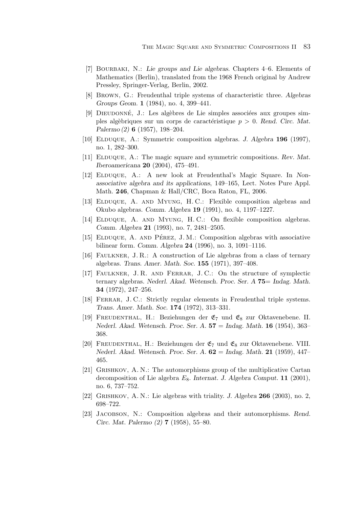- [7] Bourbaki, N.: *Lie groups and Lie algebras*. Chapters 4–6. Elements of Mathematics (Berlin), translated from the 1968 French original by Andrew Pressley, Springer-Verlag, Berlin, 2002.
- [8] Brown, G.: Freudenthal triple systems of characteristic three. *Algebras Groups Geom.* **1** (1984), no. 4, 399–441.
- [9] DIEUDONNÉ, J.: Les algèbres de Lie simples associées aux groupes simples algèbriques sur un corps de caractéristique  $p > 0$ . *Rend. Circ. Mat. Palermo (2)* **6** (1957), 198–204.
- [10] Elduque, A.: Symmetric composition algebras. *J. Algebra* **196** (1997), no. 1, 282–300.
- [11] Elduque, A.: The magic square and symmetric compositions. *Rev. Mat. Iberoamericana* **20** (2004), 475–491.
- [12] Elduque, A.: A new look at Freudenthal's Magic Square. In *Nonassociative algebra and its applications*, 149–165, Lect. Notes Pure Appl. Math. **246**, Chapman & Hall/CRC, Boca Raton, FL, 2006.
- [13] Elduque, A. and Myung, H. C.: Flexible composition algebras and Okubo algebras. *Comm. Algebra* **19** (1991), no. 4, 1197–1227.
- [14] ELDUQUE, A. AND MYUNG, H.C.: On flexible composition algebras. *Comm. Algebra* **21** (1993), no. 7, 2481–2505.
- [15] ELDUQUE, A. AND PÉREZ, J.M.: Composition algebras with associative bilinear form. *Comm. Algebra* **24** (1996), no. 3, 1091–1116.
- [16] Faulkner, J. R.: A construction of Lie algebras from a class of ternary algebras. *Trans. Amer. Math. Soc.* **155** (1971), 397–408.
- [17] Faulkner, J. R. and Ferrar, J. C.: On the structure of symplectic ternary algebras. *Nederl. Akad. Wetensch. Proc. Ser. A* **75**= *Indag. Math.* **34** (1972), 247–256.
- [18] Ferrar, J. C.: Strictly regular elements in Freudenthal triple systems. *Trans. Amer. Math. Soc.* **174** (1972), 313–331.
- [19] FREUDENTHAL, H.: Beziehungen der  $\mathfrak{E}_7$  und  $\mathfrak{E}_8$  zur Oktavenebene. II. *Nederl. Akad. Wetensch. Proc. Ser. A.* **57** = *Indag. Math.* **16** (1954), 363– 368.
- [20] FREUDENTHAL, H.: Beziehungen der  $\mathfrak{E}_7$  und  $\mathfrak{E}_8$  zur Oktavenebene. VIII. *Nederl. Akad. Wetensch. Proc. Ser. A.* **62** = *Indag. Math.* **21** (1959), 447– 465.
- [21] GRISHKOV, A. N.: The automorphisms group of the multiplicative Cartan decomposition of Lie algebra E8. *Internat. J. Algebra Comput.* **11** (2001), no. 6, 737–752.
- [22] Grishkov, A. N.: Lie algebras with triality. *J. Algebra* **266** (2003), no. 2, 698–722.
- [23] Jacobson, N.: Composition algebras and their automorphisms. *Rend. Circ. Mat. Palermo (2)* **7** (1958), 55–80.